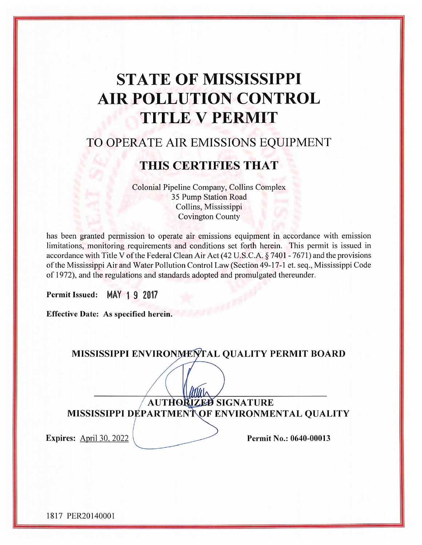# **STATE OF MISSISSIPPI AIR POLLUTION CONTROL TITLE V PERMIT**

# TO OPERATE AIR EMISSIONS EQUIPMENT

# THIS CERTIFIES THAT

Colonial Pipeline Company, Collins Complex 35 Pump Station Road Collins, Mississippi **Covington County** 

has been granted permission to operate air emissions equipment in accordance with emission limitations, monitoring requirements and conditions set forth herein. This permit is issued in accordance with Title V of the Federal Clean Air Act (42 U.S.C.A. § 7401 - 7671) and the provisions of the Mississippi Air and Water Pollution Control Law (Section 49-17-1 et. seq., Mississippi Code of 1972), and the regulations and standards adopted and promulgated thereunder.

**Permit Issued:** MAY 19 2017

Effective Date: As specified herein.

MISSISSIPPI ENVIRONMENTAL QUALITY PERMIT BOARD

AUTHORIZED SIGNATURE MISSISSIPPI DEPARTMENTOF ENVIRONMENTAL QUALITY

**Expires:** April 30, 2022

Permit No.: 0640-00013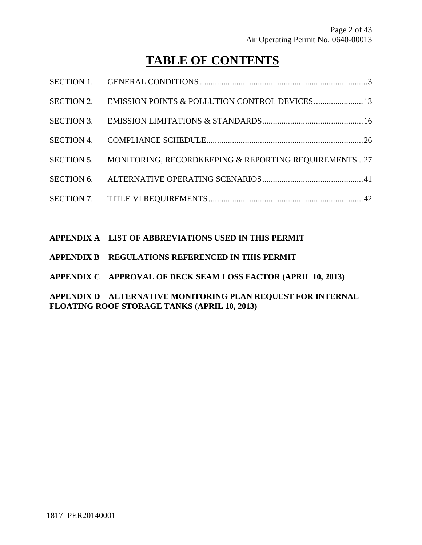# **TABLE OF CONTENTS**

| SECTION 5. MONITORING, RECORDKEEPING & REPORTING REQUIREMENTS 27 |
|------------------------------------------------------------------|
|                                                                  |
|                                                                  |

### **APPENDIX A LIST OF ABBREVIATIONS USED IN THIS PERMIT**

- **APPENDIX B REGULATIONS REFERENCED IN THIS PERMIT**
- **APPENDIX C APPROVAL OF DECK SEAM LOSS FACTOR (APRIL 10, 2013)**

**APPENDIX D ALTERNATIVE MONITORING PLAN REQUEST FOR INTERNAL FLOATING ROOF STORAGE TANKS (APRIL 10, 2013)**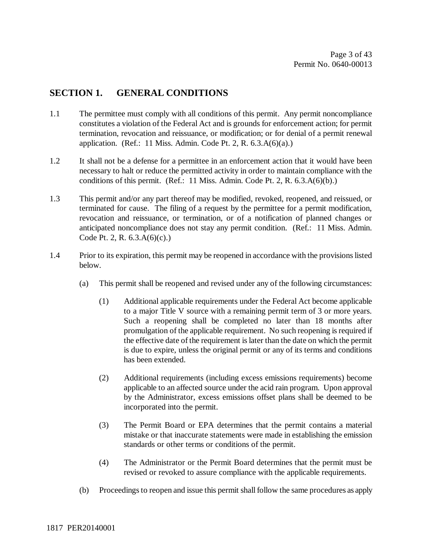# **SECTION 1. GENERAL CONDITIONS**

- 1.1 The permittee must comply with all conditions of this permit. Any permit noncompliance constitutes a violation of the Federal Act and is grounds for enforcement action; for permit termination, revocation and reissuance, or modification; or for denial of a permit renewal application. (Ref.: 11 Miss. Admin. Code Pt. 2, R. 6.3.A(6)(a).)
- 1.2 It shall not be a defense for a permittee in an enforcement action that it would have been necessary to halt or reduce the permitted activity in order to maintain compliance with the conditions of this permit. (Ref.: 11 Miss. Admin. Code Pt. 2, R. 6.3.A(6)(b).)
- 1.3 This permit and/or any part thereof may be modified, revoked, reopened, and reissued, or terminated for cause. The filing of a request by the permittee for a permit modification, revocation and reissuance, or termination, or of a notification of planned changes or anticipated noncompliance does not stay any permit condition. (Ref.: 11 Miss. Admin. Code Pt. 2, R. 6.3.A(6)(c).)
- 1.4 Prior to its expiration, this permit may be reopened in accordance with the provisions listed below.
	- (a) This permit shall be reopened and revised under any of the following circumstances:
		- (1) Additional applicable requirements under the Federal Act become applicable to a major Title V source with a remaining permit term of 3 or more years. Such a reopening shall be completed no later than 18 months after promulgation of the applicable requirement. No such reopening is required if the effective date of the requirement is later than the date on which the permit is due to expire, unless the original permit or any of its terms and conditions has been extended.
		- (2) Additional requirements (including excess emissions requirements) become applicable to an affected source under the acid rain program. Upon approval by the Administrator, excess emissions offset plans shall be deemed to be incorporated into the permit.
		- (3) The Permit Board or EPA determines that the permit contains a material mistake or that inaccurate statements were made in establishing the emission standards or other terms or conditions of the permit.
		- (4) The Administrator or the Permit Board determines that the permit must be revised or revoked to assure compliance with the applicable requirements.
	- (b) Proceedings to reopen and issue this permit shall follow the same procedures as apply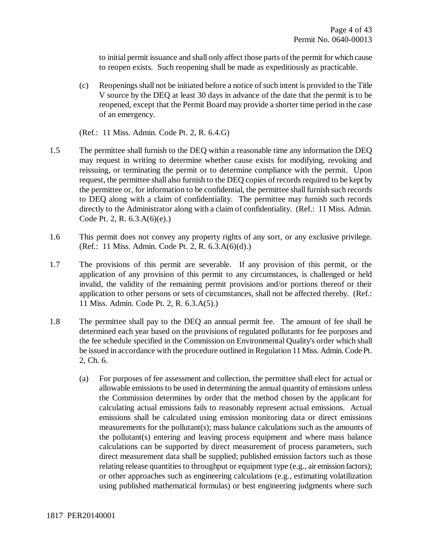to initial permit issuance and shall only affect those parts of the permit for which cause to reopen exists. Such reopening shall be made as expeditiously as practicable.

- (c) Reopenings shall not be initiated before a notice of such intent is provided to the Title V source by the DEQ at least 30 days in advance of the date that the permit is to be reopened, except that the Permit Board may provide a shorter time period in the case of an emergency.
- (Ref.: 11 Miss. Admin. Code Pt. 2, R. 6.4.G)
- 1.5 The permittee shall furnish to the DEQ within a reasonable time any information the DEQ may request in writing to determine whether cause exists for modifying, revoking and reissuing, or terminating the permit or to determine compliance with the permit. Upon request, the permittee shall also furnish to the DEQ copies of records required to be kept by the permittee or, for information to be confidential, the permittee shall furnish such records to DEQ along with a claim of confidentiality. The permittee may furnish such records directly to the Administrator along with a claim of confidentiality. (Ref.: 11 Miss. Admin. Code Pt. 2, R. 6.3.A(6)(e).)
- 1.6 This permit does not convey any property rights of any sort, or any exclusive privilege. (Ref.: 11 Miss. Admin. Code Pt. 2, R. 6.3.A(6)(d).)
- 1.7 The provisions of this permit are severable. If any provision of this permit, or the application of any provision of this permit to any circumstances, is challenged or held invalid, the validity of the remaining permit provisions and/or portions thereof or their application to other persons or sets of circumstances, shall not be affected thereby. (Ref.: 11 Miss. Admin. Code Pt. 2, R. 6.3.A(5).)
- 1.8 The permittee shall pay to the DEQ an annual permit fee. The amount of fee shall be determined each year based on the provisions of regulated pollutants for fee purposes and the fee schedule specified in the Commission on Environmental Quality's order which shall be issued in accordance with the procedure outlined in Regulation 11 Miss. Admin. Code Pt. 2, Ch. 6.
	- (a) For purposes of fee assessment and collection, the permittee shall elect for actual or allowable emissions to be used in determining the annual quantity of emissions unless the Commission determines by order that the method chosen by the applicant for calculating actual emissions fails to reasonably represent actual emissions. Actual emissions shall be calculated using emission monitoring data or direct emissions measurements for the pollutant(s); mass balance calculations such as the amounts of the pollutant(s) entering and leaving process equipment and where mass balance calculations can be supported by direct measurement of process parameters, such direct measurement data shall be supplied; published emission factors such as those relating release quantities to throughput or equipment type (e.g., air emission factors); or other approaches such as engineering calculations (e.g., estimating volatilization using published mathematical formulas) or best engineering judgments where such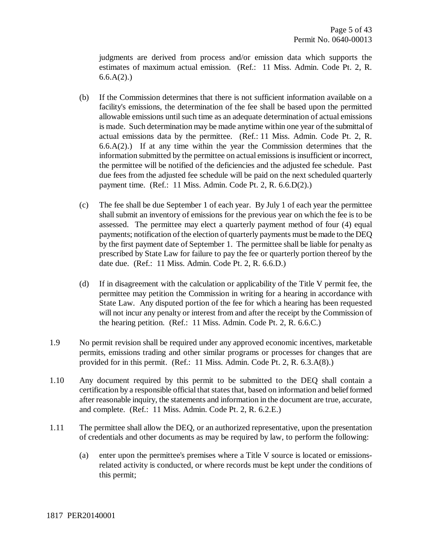judgments are derived from process and/or emission data which supports the estimates of maximum actual emission. (Ref.: 11 Miss. Admin. Code Pt. 2, R.  $6.6.A(2)$ .

- (b) If the Commission determines that there is not sufficient information available on a facility's emissions, the determination of the fee shall be based upon the permitted allowable emissions until such time as an adequate determination of actual emissions is made. Such determination may be made anytime within one year of the submittal of actual emissions data by the permittee. (Ref.: 11 Miss. Admin. Code Pt. 2, R.  $6.6(A(2))$  If at any time within the year the Commission determines that the information submitted by the permittee on actual emissions is insufficient or incorrect, the permittee will be notified of the deficiencies and the adjusted fee schedule. Past due fees from the adjusted fee schedule will be paid on the next scheduled quarterly payment time. (Ref.: 11 Miss. Admin. Code Pt. 2, R. 6.6.D(2).)
- (c) The fee shall be due September 1 of each year. By July 1 of each year the permittee shall submit an inventory of emissions for the previous year on which the fee is to be assessed. The permittee may elect a quarterly payment method of four (4) equal payments; notification of the election of quarterly payments must be made to the DEQ by the first payment date of September 1. The permittee shall be liable for penalty as prescribed by State Law for failure to pay the fee or quarterly portion thereof by the date due. (Ref.: 11 Miss. Admin. Code Pt. 2, R. 6.6.D.)
- (d) If in disagreement with the calculation or applicability of the Title V permit fee, the permittee may petition the Commission in writing for a hearing in accordance with State Law. Any disputed portion of the fee for which a hearing has been requested will not incur any penalty or interest from and after the receipt by the Commission of the hearing petition. (Ref.: 11 Miss. Admin. Code Pt. 2, R. 6.6.C.)
- 1.9 No permit revision shall be required under any approved economic incentives, marketable permits, emissions trading and other similar programs or processes for changes that are provided for in this permit. (Ref.: 11 Miss. Admin. Code Pt. 2, R. 6.3.A(8).)
- 1.10 Any document required by this permit to be submitted to the DEQ shall contain a certification by a responsible official that states that, based on information and belief formed after reasonable inquiry, the statements and information in the document are true, accurate, and complete. (Ref.: 11 Miss. Admin. Code Pt. 2, R. 6.2.E.)
- 1.11 The permittee shall allow the DEQ, or an authorized representative, upon the presentation of credentials and other documents as may be required by law, to perform the following:
	- (a) enter upon the permittee's premises where a Title V source is located or emissionsrelated activity is conducted, or where records must be kept under the conditions of this permit;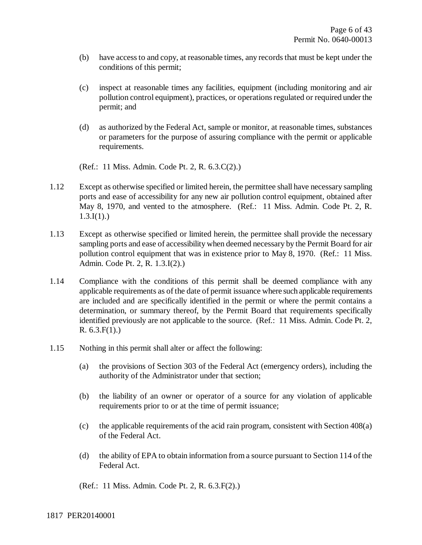- (b) have access to and copy, at reasonable times, any records that must be kept under the conditions of this permit;
- (c) inspect at reasonable times any facilities, equipment (including monitoring and air pollution control equipment), practices, or operations regulated or required under the permit; and
- (d) as authorized by the Federal Act, sample or monitor, at reasonable times, substances or parameters for the purpose of assuring compliance with the permit or applicable requirements.

(Ref.: 11 Miss. Admin. Code Pt. 2, R. 6.3.C(2).)

- 1.12 Except as otherwise specified or limited herein, the permittee shall have necessary sampling ports and ease of accessibility for any new air pollution control equipment, obtained after May 8, 1970, and vented to the atmosphere. (Ref.: 11 Miss. Admin. Code Pt. 2, R.  $1.3.I(1).$
- 1.13 Except as otherwise specified or limited herein, the permittee shall provide the necessary sampling ports and ease of accessibility when deemed necessary by the Permit Board for air pollution control equipment that was in existence prior to May 8, 1970. (Ref.: 11 Miss. Admin. Code Pt. 2, R. 1.3.I(2).)
- 1.14 Compliance with the conditions of this permit shall be deemed compliance with any applicable requirements as of the date of permit issuance where such applicable requirements are included and are specifically identified in the permit or where the permit contains a determination, or summary thereof, by the Permit Board that requirements specifically identified previously are not applicable to the source. (Ref.: 11 Miss. Admin. Code Pt. 2, R. 6.3.F(1).)
- 1.15 Nothing in this permit shall alter or affect the following:
	- (a) the provisions of Section 303 of the Federal Act (emergency orders), including the authority of the Administrator under that section;
	- (b) the liability of an owner or operator of a source for any violation of applicable requirements prior to or at the time of permit issuance;
	- (c) the applicable requirements of the acid rain program, consistent with Section 408(a) of the Federal Act.
	- (d) the ability of EPA to obtain information from a source pursuant to Section 114 of the Federal Act.

(Ref.: 11 Miss. Admin. Code Pt. 2, R. 6.3.F(2).)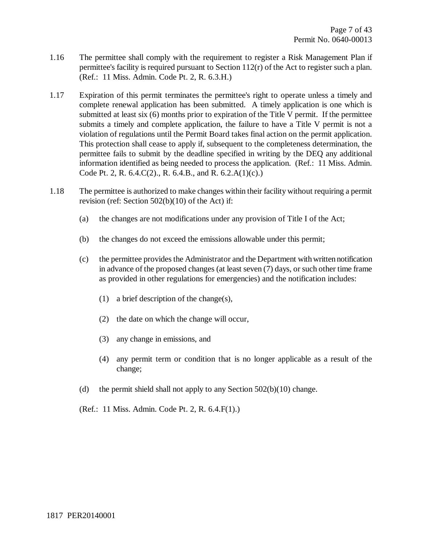- 1.16 The permittee shall comply with the requirement to register a Risk Management Plan if permittee's facility is required pursuant to Section 112(r) of the Act to register such a plan. (Ref.: 11 Miss. Admin. Code Pt. 2, R. 6.3.H.)
- 1.17 Expiration of this permit terminates the permittee's right to operate unless a timely and complete renewal application has been submitted. A timely application is one which is submitted at least six (6) months prior to expiration of the Title V permit. If the permittee submits a timely and complete application, the failure to have a Title V permit is not a violation of regulations until the Permit Board takes final action on the permit application. This protection shall cease to apply if, subsequent to the completeness determination, the permittee fails to submit by the deadline specified in writing by the DEQ any additional information identified as being needed to process the application. (Ref.: 11 Miss. Admin. Code Pt. 2, R. 6.4.C(2)., R. 6.4.B., and R. 6.2.A(1)(c).)
- 1.18 The permittee is authorized to make changes within their facility without requiring a permit revision (ref: Section 502(b)(10) of the Act) if:
	- (a) the changes are not modifications under any provision of Title I of the Act;
	- (b) the changes do not exceed the emissions allowable under this permit;
	- (c) the permittee provides the Administrator and the Department with written notification in advance of the proposed changes (at least seven (7) days, or such other time frame as provided in other regulations for emergencies) and the notification includes:
		- (1) a brief description of the change(s),
		- (2) the date on which the change will occur,
		- (3) any change in emissions, and
		- (4) any permit term or condition that is no longer applicable as a result of the change;
	- (d) the permit shield shall not apply to any Section  $502(b)(10)$  change.
	- (Ref.: 11 Miss. Admin. Code Pt. 2, R. 6.4.F(1).)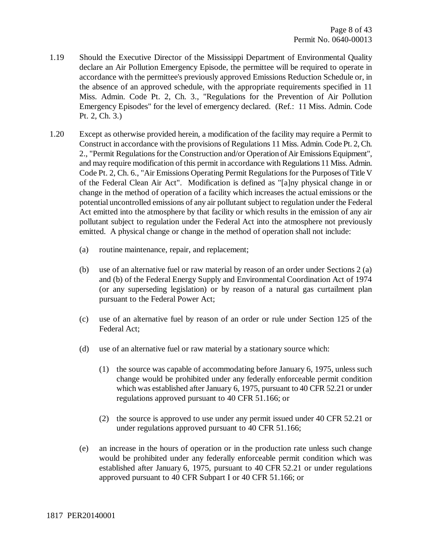- 1.19 Should the Executive Director of the Mississippi Department of Environmental Quality declare an Air Pollution Emergency Episode, the permittee will be required to operate in accordance with the permittee's previously approved Emissions Reduction Schedule or, in the absence of an approved schedule, with the appropriate requirements specified in 11 Miss. Admin. Code Pt. 2, Ch. 3., "Regulations for the Prevention of Air Pollution Emergency Episodes" for the level of emergency declared. (Ref.: 11 Miss. Admin. Code Pt. 2, Ch. 3.)
- 1.20 Except as otherwise provided herein, a modification of the facility may require a Permit to Construct in accordance with the provisions of Regulations 11 Miss. Admin. Code Pt. 2, Ch. 2., "Permit Regulations for the Construction and/or Operation of Air Emissions Equipment", and may require modification of this permit in accordance with Regulations 11 Miss. Admin. Code Pt. 2, Ch. 6., "Air Emissions Operating Permit Regulations for the Purposes of Title V of the Federal Clean Air Act". Modification is defined as "[a]ny physical change in or change in the method of operation of a facility which increases the actual emissions or the potential uncontrolled emissions of any air pollutant subject to regulation under the Federal Act emitted into the atmosphere by that facility or which results in the emission of any air pollutant subject to regulation under the Federal Act into the atmosphere not previously emitted. A physical change or change in the method of operation shall not include:
	- (a) routine maintenance, repair, and replacement;
	- (b) use of an alternative fuel or raw material by reason of an order under Sections 2 (a) and (b) of the Federal Energy Supply and Environmental Coordination Act of 1974 (or any superseding legislation) or by reason of a natural gas curtailment plan pursuant to the Federal Power Act;
	- (c) use of an alternative fuel by reason of an order or rule under Section 125 of the Federal Act;
	- (d) use of an alternative fuel or raw material by a stationary source which:
		- (1) the source was capable of accommodating before January 6, 1975, unless such change would be prohibited under any federally enforceable permit condition which was established after January 6, 1975, pursuant to 40 CFR 52.21 or under regulations approved pursuant to 40 CFR 51.166; or
		- (2) the source is approved to use under any permit issued under 40 CFR 52.21 or under regulations approved pursuant to 40 CFR 51.166;
	- (e) an increase in the hours of operation or in the production rate unless such change would be prohibited under any federally enforceable permit condition which was established after January 6, 1975, pursuant to 40 CFR 52.21 or under regulations approved pursuant to 40 CFR Subpart I or 40 CFR 51.166; or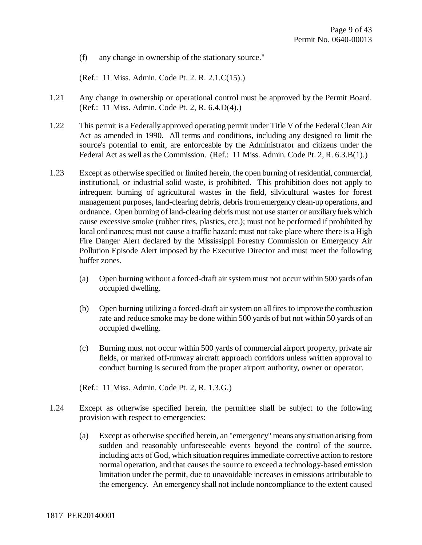(f) any change in ownership of the stationary source."

(Ref.: 11 Miss. Admin. Code Pt. 2. R. 2.1.C(15).)

- 1.21 Any change in ownership or operational control must be approved by the Permit Board. (Ref.: 11 Miss. Admin. Code Pt. 2, R. 6.4.D(4).)
- 1.22 This permit is a Federally approved operating permit under Title V of the Federal Clean Air Act as amended in 1990. All terms and conditions, including any designed to limit the source's potential to emit, are enforceable by the Administrator and citizens under the Federal Act as well as the Commission. (Ref.: 11 Miss. Admin. Code Pt. 2, R. 6.3.B(1).)
- 1.23 Except as otherwise specified or limited herein, the open burning of residential, commercial, institutional, or industrial solid waste, is prohibited. This prohibition does not apply to infrequent burning of agricultural wastes in the field, silvicultural wastes for forest management purposes, land-clearing debris, debris from emergency clean-up operations, and ordnance. Open burning of land-clearing debris must not use starter or auxiliary fuels which cause excessive smoke (rubber tires, plastics, etc.); must not be performed if prohibited by local ordinances; must not cause a traffic hazard; must not take place where there is a High Fire Danger Alert declared by the Mississippi Forestry Commission or Emergency Air Pollution Episode Alert imposed by the Executive Director and must meet the following buffer zones.
	- (a) Open burning without a forced-draft air system must not occur within 500 yards of an occupied dwelling.
	- (b) Open burning utilizing a forced-draft air system on all fires to improve the combustion rate and reduce smoke may be done within 500 yards of but not within 50 yards of an occupied dwelling.
	- (c) Burning must not occur within 500 yards of commercial airport property, private air fields, or marked off-runway aircraft approach corridors unless written approval to conduct burning is secured from the proper airport authority, owner or operator.

(Ref.: 11 Miss. Admin. Code Pt. 2, R. 1.3.G.)

- 1.24 Except as otherwise specified herein, the permittee shall be subject to the following provision with respect to emergencies:
	- (a) Except as otherwise specified herein, an "emergency" means any situation arising from sudden and reasonably unforeseeable events beyond the control of the source, including acts of God, which situation requires immediate corrective action to restore normal operation, and that causes the source to exceed a technology-based emission limitation under the permit, due to unavoidable increases in emissions attributable to the emergency. An emergency shall not include noncompliance to the extent caused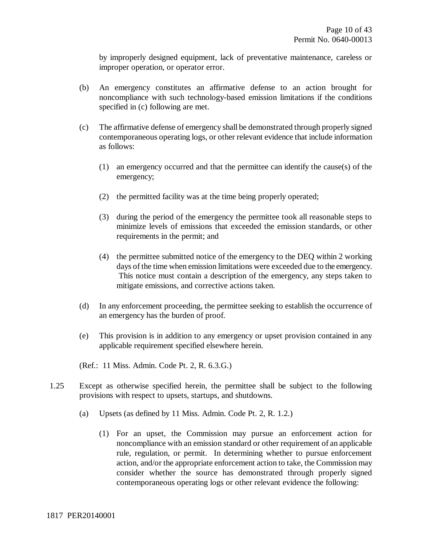by improperly designed equipment, lack of preventative maintenance, careless or improper operation, or operator error.

- (b) An emergency constitutes an affirmative defense to an action brought for noncompliance with such technology-based emission limitations if the conditions specified in (c) following are met.
- (c) The affirmative defense of emergency shall be demonstrated through properly signed contemporaneous operating logs, or other relevant evidence that include information as follows:
	- (1) an emergency occurred and that the permittee can identify the cause(s) of the emergency;
	- (2) the permitted facility was at the time being properly operated;
	- (3) during the period of the emergency the permittee took all reasonable steps to minimize levels of emissions that exceeded the emission standards, or other requirements in the permit; and
	- (4) the permittee submitted notice of the emergency to the DEQ within 2 working days of the time when emission limitations were exceeded due to the emergency. This notice must contain a description of the emergency, any steps taken to mitigate emissions, and corrective actions taken.
- (d) In any enforcement proceeding, the permittee seeking to establish the occurrence of an emergency has the burden of proof.
- (e) This provision is in addition to any emergency or upset provision contained in any applicable requirement specified elsewhere herein.

(Ref.: 11 Miss. Admin. Code Pt. 2, R. 6.3.G.)

- 1.25 Except as otherwise specified herein, the permittee shall be subject to the following provisions with respect to upsets, startups, and shutdowns.
	- (a) Upsets (as defined by 11 Miss. Admin. Code Pt. 2, R. 1.2.)
		- (1) For an upset, the Commission may pursue an enforcement action for noncompliance with an emission standard or other requirement of an applicable rule, regulation, or permit. In determining whether to pursue enforcement action, and/or the appropriate enforcement action to take, the Commission may consider whether the source has demonstrated through properly signed contemporaneous operating logs or other relevant evidence the following: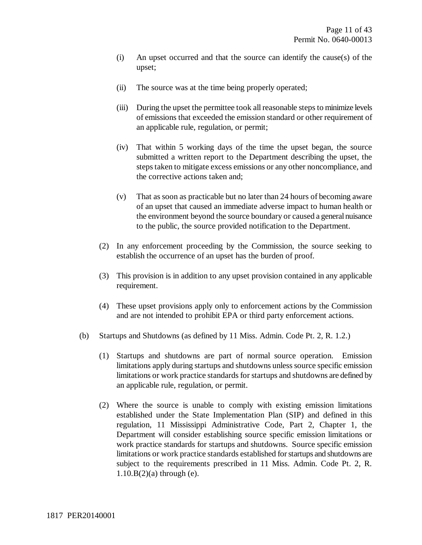- (i) An upset occurred and that the source can identify the cause(s) of the upset;
- (ii) The source was at the time being properly operated;
- (iii) During the upset the permittee took all reasonable steps to minimize levels of emissions that exceeded the emission standard or other requirement of an applicable rule, regulation, or permit;
- (iv) That within 5 working days of the time the upset began, the source submitted a written report to the Department describing the upset, the steps taken to mitigate excess emissions or any other noncompliance, and the corrective actions taken and;
- (v) That as soon as practicable but no later than 24 hours of becoming aware of an upset that caused an immediate adverse impact to human health or the environment beyond the source boundary or caused a general nuisance to the public, the source provided notification to the Department.
- (2) In any enforcement proceeding by the Commission, the source seeking to establish the occurrence of an upset has the burden of proof.
- (3) This provision is in addition to any upset provision contained in any applicable requirement.
- (4) These upset provisions apply only to enforcement actions by the Commission and are not intended to prohibit EPA or third party enforcement actions.
- (b) Startups and Shutdowns (as defined by 11 Miss. Admin. Code Pt. 2, R. 1.2.)
	- (1) Startups and shutdowns are part of normal source operation. Emission limitations apply during startups and shutdowns unless source specific emission limitations or work practice standards for startups and shutdowns are defined by an applicable rule, regulation, or permit.
	- (2) Where the source is unable to comply with existing emission limitations established under the State Implementation Plan (SIP) and defined in this regulation, 11 Mississippi Administrative Code, Part 2, Chapter 1, the Department will consider establishing source specific emission limitations or work practice standards for startups and shutdowns. Source specific emission limitations or work practice standards established for startups and shutdowns are subject to the requirements prescribed in 11 Miss. Admin. Code Pt. 2, R.  $1.10.B(2)$ (a) through (e).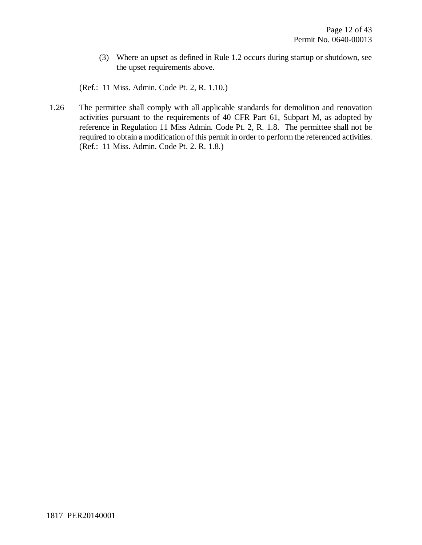(3) Where an upset as defined in Rule 1.2 occurs during startup or shutdown, see the upset requirements above.

(Ref.: 11 Miss. Admin. Code Pt. 2, R. 1.10.)

1.26 The permittee shall comply with all applicable standards for demolition and renovation activities pursuant to the requirements of 40 CFR Part 61, Subpart M, as adopted by reference in Regulation 11 Miss Admin. Code Pt. 2, R. 1.8. The permittee shall not be required to obtain a modification of this permit in order to perform the referenced activities. (Ref.: 11 Miss. Admin. Code Pt. 2. R. 1.8.)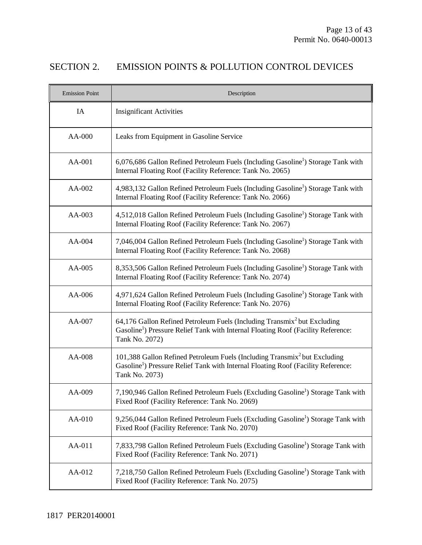# SECTION 2. EMISSION POINTS & POLLUTION CONTROL DEVICES

| <b>Emission Point</b> | Description                                                                                                                                                                                              |
|-----------------------|----------------------------------------------------------------------------------------------------------------------------------------------------------------------------------------------------------|
| IA                    | <b>Insignificant Activities</b>                                                                                                                                                                          |
| AA-000                | Leaks from Equipment in Gasoline Service                                                                                                                                                                 |
| AA-001                | 6,076,686 Gallon Refined Petroleum Fuels (Including Gasoline <sup>1</sup> ) Storage Tank with<br>Internal Floating Roof (Facility Reference: Tank No. 2065)                                              |
| AA-002                | 4,983,132 Gallon Refined Petroleum Fuels (Including Gasoline <sup>1</sup> ) Storage Tank with<br>Internal Floating Roof (Facility Reference: Tank No. 2066)                                              |
| AA-003                | 4,512,018 Gallon Refined Petroleum Fuels (Including Gasoline <sup>1</sup> ) Storage Tank with<br>Internal Floating Roof (Facility Reference: Tank No. 2067)                                              |
| AA-004                | 7,046,004 Gallon Refined Petroleum Fuels (Including Gasoline <sup>1</sup> ) Storage Tank with<br>Internal Floating Roof (Facility Reference: Tank No. 2068)                                              |
| AA-005                | 8,353,506 Gallon Refined Petroleum Fuels (Including Gasoline <sup>1</sup> ) Storage Tank with<br>Internal Floating Roof (Facility Reference: Tank No. 2074)                                              |
| AA-006                | 4,971,624 Gallon Refined Petroleum Fuels (Including Gasoline <sup>1</sup> ) Storage Tank with<br>Internal Floating Roof (Facility Reference: Tank No. 2076)                                              |
| AA-007                | 64,176 Gallon Refined Petroleum Fuels (Including Transmix <sup>2</sup> but Excluding<br>Gasoline <sup>1</sup> ) Pressure Relief Tank with Internal Floating Roof (Facility Reference:<br>Tank No. 2072)  |
| AA-008                | 101,388 Gallon Refined Petroleum Fuels (Including Transmix <sup>2</sup> but Excluding<br>Gasoline <sup>1</sup> ) Pressure Relief Tank with Internal Floating Roof (Facility Reference:<br>Tank No. 2073) |
| AA-009                | 7,190,946 Gallon Refined Petroleum Fuels (Excluding Gasoline <sup>1</sup> ) Storage Tank with<br>Fixed Roof (Facility Reference: Tank No. 2069)                                                          |
| AA-010                | 9,256,044 Gallon Refined Petroleum Fuels (Excluding Gasoline <sup>1</sup> ) Storage Tank with<br>Fixed Roof (Facility Reference: Tank No. 2070)                                                          |
| AA-011                | 7,833,798 Gallon Refined Petroleum Fuels (Excluding Gasoline <sup>1</sup> ) Storage Tank with<br>Fixed Roof (Facility Reference: Tank No. 2071)                                                          |
| AA-012                | 7,218,750 Gallon Refined Petroleum Fuels (Excluding Gasoline <sup>1</sup> ) Storage Tank with<br>Fixed Roof (Facility Reference: Tank No. 2075)                                                          |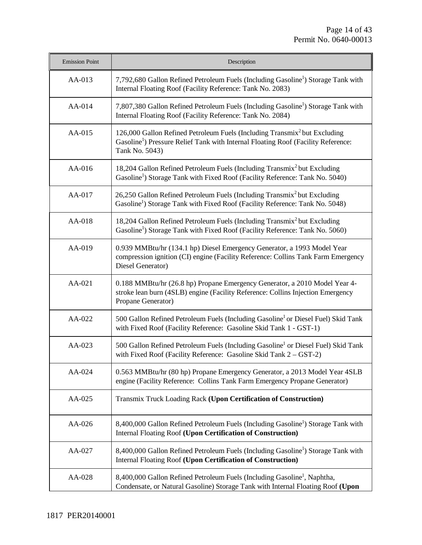| <b>Emission Point</b> | Description                                                                                                                                                                                              |
|-----------------------|----------------------------------------------------------------------------------------------------------------------------------------------------------------------------------------------------------|
| AA-013                | 7,792,680 Gallon Refined Petroleum Fuels (Including Gasoline <sup>1</sup> ) Storage Tank with<br>Internal Floating Roof (Facility Reference: Tank No. 2083)                                              |
| AA-014                | 7,807,380 Gallon Refined Petroleum Fuels (Including Gasoline <sup>1</sup> ) Storage Tank with<br>Internal Floating Roof (Facility Reference: Tank No. 2084)                                              |
| $AA-015$              | 126,000 Gallon Refined Petroleum Fuels (Including Transmix <sup>2</sup> but Excluding<br>Gasoline <sup>1</sup> ) Pressure Relief Tank with Internal Floating Roof (Facility Reference:<br>Tank No. 5043) |
| $AA-016$              | 18,204 Gallon Refined Petroleum Fuels (Including Transmix <sup>2</sup> but Excluding<br>Gasoline <sup>1</sup> ) Storage Tank with Fixed Roof (Facility Reference: Tank No. 5040)                         |
| AA-017                | 26,250 Gallon Refined Petroleum Fuels (Including Transmix <sup>2</sup> but Excluding<br>Gasoline <sup>1</sup> ) Storage Tank with Fixed Roof (Facility Reference: Tank No. 5048)                         |
| AA-018                | 18,204 Gallon Refined Petroleum Fuels (Including Transmix <sup>2</sup> but Excluding<br>Gasoline <sup>1</sup> ) Storage Tank with Fixed Roof (Facility Reference: Tank No. 5060)                         |
| AA-019                | 0.939 MMBtu/hr (134.1 hp) Diesel Emergency Generator, a 1993 Model Year<br>compression ignition (CI) engine (Facility Reference: Collins Tank Farm Emergency<br>Diesel Generator)                        |
| AA-021                | 0.188 MMBtu/hr (26.8 hp) Propane Emergency Generator, a 2010 Model Year 4-<br>stroke lean burn (4SLB) engine (Facility Reference: Collins Injection Emergency<br>Propane Generator)                      |
| AA-022                | 500 Gallon Refined Petroleum Fuels (Including Gasoline <sup>1</sup> or Diesel Fuel) Skid Tank<br>with Fixed Roof (Facility Reference: Gasoline Skid Tank 1 - GST-1)                                      |
| AA-023                | 500 Gallon Refined Petroleum Fuels (Including Gasoline <sup>1</sup> or Diesel Fuel) Skid Tank<br>with Fixed Roof (Facility Reference: Gasoline Skid Tank $2 - GST-2$ )                                   |
| AA-024                | 0.563 MMBtu/hr (80 hp) Propane Emergency Generator, a 2013 Model Year 4SLB<br>engine (Facility Reference: Collins Tank Farm Emergency Propane Generator)                                                 |
| AA-025                | Transmix Truck Loading Rack (Upon Certification of Construction)                                                                                                                                         |
| AA-026                | 8,400,000 Gallon Refined Petroleum Fuels (Including Gasoline <sup>1</sup> ) Storage Tank with<br><b>Internal Floating Roof (Upon Certification of Construction)</b>                                      |
| AA-027                | 8,400,000 Gallon Refined Petroleum Fuels (Including Gasoline <sup>1</sup> ) Storage Tank with<br><b>Internal Floating Roof (Upon Certification of Construction)</b>                                      |
| AA-028                | 8,400,000 Gallon Refined Petroleum Fuels (Including Gasoline <sup>1</sup> , Naphtha,<br>Condensate, or Natural Gasoline) Storage Tank with Internal Floating Roof (Upon                                  |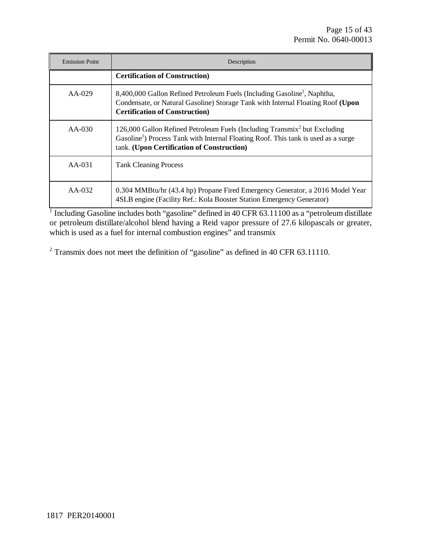| <b>Emission Point</b> | Description                                                                                                                                                                                                                           |  |  |  |
|-----------------------|---------------------------------------------------------------------------------------------------------------------------------------------------------------------------------------------------------------------------------------|--|--|--|
|                       | <b>Certification of Construction</b> )                                                                                                                                                                                                |  |  |  |
| $AA-029$              | 8,400,000 Gallon Refined Petroleum Fuels (Including Gasoline <sup>1</sup> , Naphtha,<br>Condensate, or Natural Gasoline) Storage Tank with Internal Floating Roof (Upon<br><b>Certification of Construction</b> )                     |  |  |  |
| $AA-030$              | 126,000 Gallon Refined Petroleum Fuels (Including Transmix <sup>2</sup> but Excluding<br>Gasoline <sup>1</sup> ) Process Tank with Internal Floating Roof. This tank is used as a surge<br>tank. (Upon Certification of Construction) |  |  |  |
| $AA-031$              | <b>Tank Cleaning Process</b>                                                                                                                                                                                                          |  |  |  |
| $AA-032$              | 0.304 MMBtu/hr (43.4 hp) Propane Fired Emergency Generator, a 2016 Model Year<br>4SLB engine (Facility Ref.: Kola Booster Station Emergency Generator)                                                                                |  |  |  |

<sup>1</sup> Including Gasoline includes both "gasoline" defined in 40 CFR 63.11100 as a "petroleum distillate or petroleum distillate/alcohol blend having a Reid vapor pressure of 27.6 kilopascals or greater, which is used as a fuel for internal combustion engines" and transmix

<sup>2</sup> Transmix does not meet the definition of "gasoline" as defined in 40 CFR 63.11110.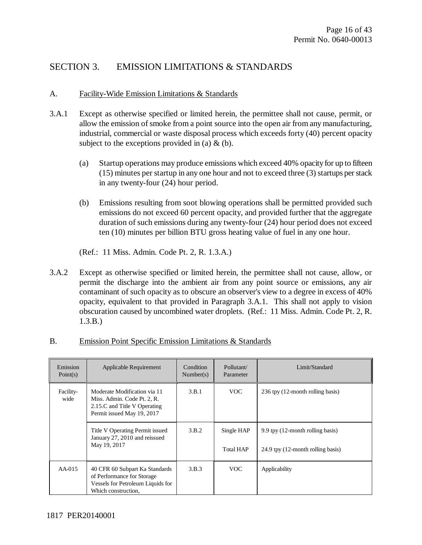# SECTION 3. EMISSION LIMITATIONS & STANDARDS

### A. Facility-Wide Emission Limitations & Standards

- 3.A.1 Except as otherwise specified or limited herein, the permittee shall not cause, permit, or allow the emission of smoke from a point source into the open air from any manufacturing, industrial, commercial or waste disposal process which exceeds forty (40) percent opacity subject to the exceptions provided in (a)  $\&$  (b).
	- (a) Startup operations may produce emissions which exceed 40% opacity for up to fifteen (15) minutes per startup in any one hour and not to exceed three (3) startups per stack in any twenty-four (24) hour period.
	- (b) Emissions resulting from soot blowing operations shall be permitted provided such emissions do not exceed 60 percent opacity, and provided further that the aggregate duration of such emissions during any twenty-four (24) hour period does not exceed ten (10) minutes per billion BTU gross heating value of fuel in any one hour.

(Ref.: 11 Miss. Admin. Code Pt. 2, R. 1.3.A.)

3.A.2 Except as otherwise specified or limited herein, the permittee shall not cause, allow, or permit the discharge into the ambient air from any point source or emissions, any air contaminant of such opacity as to obscure an observer's view to a degree in excess of 40% opacity, equivalent to that provided in Paragraph 3.A.1. This shall not apply to vision obscuration caused by uncombined water droplets. (Ref.: 11 Miss. Admin. Code Pt. 2, R. 1.3.B.)

| Emission<br>Point(s) | Applicable Requirement                                                                                                    | Condition<br>Number(s) | Pollutant/<br>Parameter        | Limit/Standard                                                        |
|----------------------|---------------------------------------------------------------------------------------------------------------------------|------------------------|--------------------------------|-----------------------------------------------------------------------|
| Facility-<br>wide    | Moderate Modification via 11<br>Miss. Admin. Code Pt. 2, R.<br>2.15.C and Title V Operating<br>Permit issued May 19, 2017 | 3.B.1                  | VOC.                           | 236 tpy (12-month rolling basis)                                      |
|                      | Title V Operating Permit issued<br>January 27, 2010 and reissued<br>May 19, 2017                                          | 3.B.2                  | Single HAP<br><b>Total HAP</b> | 9.9 tpy (12-month rolling basis)<br>24.9 tpy (12-month rolling basis) |
| $AA-015$             | 40 CFR 60 Subpart Ka Standards<br>of Performance for Storage<br>Vessels for Petroleum Liquids for<br>Which construction,  | 3.B.3                  | VOC.                           | Applicability                                                         |

B. Emission Point Specific Emission Limitations & Standards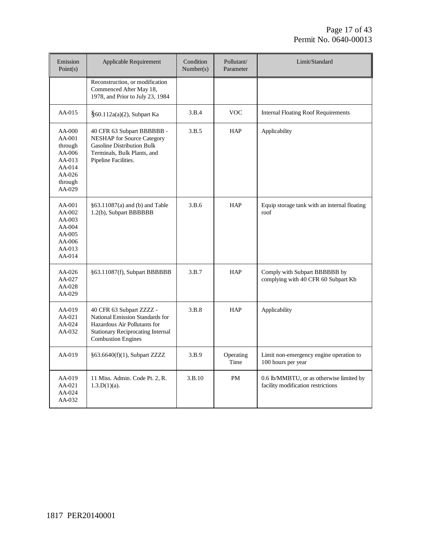| Emission<br>Point(s)                                                                           | Applicable Requirement                                                                                                                                               | Condition<br>Number(s) | Pollutant/<br>Parameter | Limit/Standard                                                                 |
|------------------------------------------------------------------------------------------------|----------------------------------------------------------------------------------------------------------------------------------------------------------------------|------------------------|-------------------------|--------------------------------------------------------------------------------|
|                                                                                                | Reconstruction, or modification<br>Commenced After May 18,<br>1978, and Prior to July 23, 1984                                                                       |                        |                         |                                                                                |
| $AA-015$                                                                                       | $§60.112a(a)(2)$ , Subpart Ka                                                                                                                                        | 3.B.4                  | <b>VOC</b>              | <b>Internal Floating Roof Requirements</b>                                     |
| $AA-000$<br>AA-001<br>through<br>AA-006<br>$AA-013$<br>$AA-014$<br>AA-026<br>through<br>AA-029 | 40 CFR 63 Subpart BBBBBB -<br><b>NESHAP</b> for Source Category<br><b>Gasoline Distribution Bulk</b><br>Terminals, Bulk Plants, and<br>Pipeline Facilities.          | 3.B.5                  | <b>HAP</b>              | Applicability                                                                  |
| AA-001<br>AA-002<br>AA-003<br>AA-004<br>AA-005<br>AA-006<br>AA-013<br>AA-014                   | §63.11087(a) and (b) and Table<br>1.2(b), Subpart BBBBBB                                                                                                             | 3.B.6                  | <b>HAP</b>              | Equip storage tank with an internal floating<br>roof                           |
| AA-026<br>AA-027<br>AA-028<br>AA-029                                                           | §63.11087(f), Subpart BBBBBB                                                                                                                                         | 3.B.7                  | <b>HAP</b>              | Comply with Subpart BBBBBB by<br>complying with 40 CFR 60 Subpart Kb           |
| AA-019<br>$AA-021$<br>AA-024<br>AA-032                                                         | 40 CFR 63 Subpart ZZZZ -<br>National Emission Standards for<br>Hazardous Air Pollutants for<br><b>Stationary Reciprocating Internal</b><br><b>Combustion Engines</b> | 3.B.8                  | <b>HAP</b>              | Applicability                                                                  |
| AA-019                                                                                         | §63.6640(f)(1), Subpart ZZZZ                                                                                                                                         | 3.B.9                  | Operating<br>Time       | Limit non-emergency engine operation to<br>100 hours per year                  |
| $AA-019$<br>AA-021<br>AA-024<br>AA-032                                                         | 11 Miss. Admin. Code Pt. 2, R.<br>$1.3.D(1)(a)$ .                                                                                                                    | 3.B.10                 | <b>PM</b>               | 0.6 lb/MMBTU, or as otherwise limited by<br>facility modification restrictions |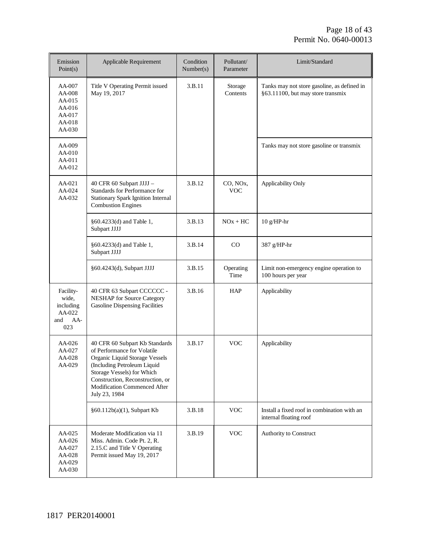| Emission<br>Point(s)                                                 | Applicable Requirement                                                                                                                                                                                                                            | Condition<br>Number(s) | Pollutant/<br>Parameter             | Limit/Standard                                                                   |
|----------------------------------------------------------------------|---------------------------------------------------------------------------------------------------------------------------------------------------------------------------------------------------------------------------------------------------|------------------------|-------------------------------------|----------------------------------------------------------------------------------|
| AA-007<br>AA-008<br>$AA-015$<br>AA-016<br>AA-017<br>AA-018<br>AA-030 | Title V Operating Permit issued<br>May 19, 2017                                                                                                                                                                                                   | 3.B.11                 | Storage<br>Contents                 | Tanks may not store gasoline, as defined in<br>§63.11100, but may store transmix |
| AA-009<br>AA-010<br>AA-011<br>AA-012                                 |                                                                                                                                                                                                                                                   |                        |                                     | Tanks may not store gasoline or transmix                                         |
| AA-021<br>AA-024<br>$AA-032$                                         | 40 CFR 60 Subpart JJJJ -<br>Standards for Performance for<br><b>Stationary Spark Ignition Internal</b><br><b>Combustion Engines</b>                                                                                                               | 3.B.12                 | CO, NO <sub>x</sub> ,<br><b>VOC</b> | Applicability Only                                                               |
|                                                                      | §60.4233(d) and Table 1,<br>Subpart JJJJ                                                                                                                                                                                                          | 3.B.13                 | $NOx + HC$                          | $10 g/HP-hr$                                                                     |
|                                                                      | §60.4233(d) and Table 1,<br>Subpart JJJJ                                                                                                                                                                                                          | 3.B.14                 | CO                                  | 387 g/HP-hr                                                                      |
|                                                                      | §60.4243(d), Subpart JJJJ                                                                                                                                                                                                                         | 3.B.15                 | Operating<br>Time                   | Limit non-emergency engine operation to<br>100 hours per year                    |
| Facility-<br>wide,<br>including<br>AA-022<br>AA-<br>and<br>023       | 40 CFR 63 Subpart CCCCCC -<br><b>NESHAP</b> for Source Category<br><b>Gasoline Dispensing Facilities</b>                                                                                                                                          | 3.B.16                 | <b>HAP</b>                          | Applicability                                                                    |
| AA-026<br>AA-027<br>AA-028<br>AA-029                                 | 40 CFR 60 Subpart Kb Standards<br>of Performance for Volatile<br>Organic Liquid Storage Vessels<br>(Including Petroleum Liquid<br>Storage Vessels) for Which<br>Construction, Reconstruction, or<br>Modification Commenced After<br>July 23, 1984 | 3.B.17                 | <b>VOC</b>                          | Applicability                                                                    |
|                                                                      | §60.112b(a)(1), Subpart Kb                                                                                                                                                                                                                        | 3.B.18                 | $\rm VOC$                           | Install a fixed roof in combination with an<br>internal floating roof            |
| AA-025<br>AA-026<br>AA-027<br>AA-028<br>AA-029<br>AA-030             | Moderate Modification via 11<br>Miss. Admin. Code Pt. 2, R.<br>2.15.C and Title V Operating<br>Permit issued May 19, 2017                                                                                                                         | 3.B.19                 | <b>VOC</b>                          | Authority to Construct                                                           |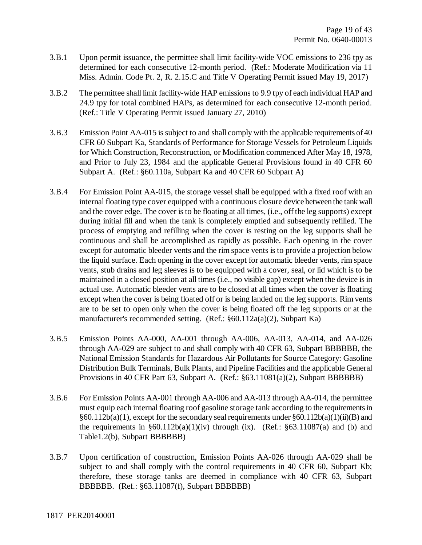- 3.B.1 Upon permit issuance, the permittee shall limit facility-wide VOC emissions to 236 tpy as determined for each consecutive 12-month period. (Ref.: Moderate Modification via 11 Miss. Admin. Code Pt. 2, R. 2.15.C and Title V Operating Permit issued May 19, 2017)
- 3.B.2 The permittee shall limit facility-wide HAP emissions to 9.9 tpy of each individual HAP and 24.9 tpy for total combined HAPs, as determined for each consecutive 12-month period. (Ref.: Title V Operating Permit issued January 27, 2010)
- 3.B.3 Emission Point AA-015 is subject to and shall comply with the applicable requirements of 40 CFR 60 Subpart Ka, Standards of Performance for Storage Vessels for Petroleum Liquids for Which Construction, Reconstruction, or Modification commenced After May 18, 1978, and Prior to July 23, 1984 and the applicable General Provisions found in 40 CFR 60 Subpart A. (Ref.: §60.110a, Subpart Ka and 40 CFR 60 Subpart A)
- 3.B.4 For Emission Point AA-015, the storage vessel shall be equipped with a fixed roof with an internal floating type cover equipped with a continuous closure device between the tank wall and the cover edge. The cover is to be floating at all times, (i.e., off the leg supports) except during initial fill and when the tank is completely emptied and subsequently refilled. The process of emptying and refilling when the cover is resting on the leg supports shall be continuous and shall be accomplished as rapidly as possible. Each opening in the cover except for automatic bleeder vents and the rim space vents is to provide a projection below the liquid surface. Each opening in the cover except for automatic bleeder vents, rim space vents, stub drains and leg sleeves is to be equipped with a cover, seal, or lid which is to be maintained in a closed position at all times (i.e., no visible gap) except when the device is in actual use. Automatic bleeder vents are to be closed at all times when the cover is floating except when the cover is being floated off or is being landed on the leg supports. Rim vents are to be set to open only when the cover is being floated off the leg supports or at the manufacturer's recommended setting. (Ref.: §60.112a(a)(2), Subpart Ka)
- 3.B.5 Emission Points AA-000, AA-001 through AA-006, AA-013, AA-014, and AA-026 through AA-029 are subject to and shall comply with 40 CFR 63, Subpart BBBBBB, the National Emission Standards for Hazardous Air Pollutants for Source Category: Gasoline Distribution Bulk Terminals, Bulk Plants, and Pipeline Facilities and the applicable General Provisions in 40 CFR Part 63, Subpart A. (Ref.: §63.11081(a)(2), Subpart BBBBBB)
- 3.B.6 For Emission Points AA-001 through AA-006 and AA-013 through AA-014, the permittee must equip each internal floating roof gasoline storage tank according to the requirements in  $§60.112b(a)(1)$ , except for the secondary seal requirements under  $§60.112b(a)(1)(ii)(B)$  and the requirements in  $\S 60.112b(a)(1)(iv)$  through (ix). (Ref.:  $\S 63.11087(a)$  and (b) and Table1.2(b), Subpart BBBBBB)
- 3.B.7 Upon certification of construction, Emission Points AA-026 through AA-029 shall be subject to and shall comply with the control requirements in 40 CFR 60, Subpart Kb; therefore, these storage tanks are deemed in compliance with 40 CFR 63, Subpart BBBBBB. (Ref.: §63.11087(f), Subpart BBBBBB)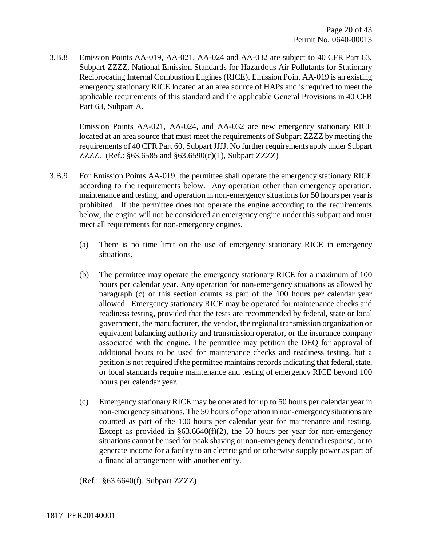3.B.8 Emission Points AA-019, AA-021, AA-024 and AA-032 are subject to 40 CFR Part 63, Subpart ZZZZ, National Emission Standards for Hazardous Air Pollutants for Stationary Reciprocating Internal Combustion Engines (RICE). Emission Point AA-019 is an existing emergency stationary RICE located at an area source of HAPs and is required to meet the applicable requirements of this standard and the applicable General Provisions in 40 CFR Part 63, Subpart A.

Emission Points AA-021, AA-024, and AA-032 are new emergency stationary RICE located at an area source that must meet the requirements of Subpart ZZZZ by meeting the requirements of 40 CFR Part 60, Subpart JJJJ. No further requirements apply under Subpart ZZZZ. (Ref.: §63.6585 and §63.6590(c)(1), Subpart ZZZZ)

- 3.B.9 For Emission Points AA-019, the permittee shall operate the emergency stationary RICE according to the requirements below. Any operation other than emergency operation, maintenance and testing, and operation in non-emergency situations for 50 hours per year is prohibited. If the permittee does not operate the engine according to the requirements below, the engine will not be considered an emergency engine under this subpart and must meet all requirements for non-emergency engines.
	- (a) There is no time limit on the use of emergency stationary RICE in emergency situations.
	- (b) The permittee may operate the emergency stationary RICE for a maximum of 100 hours per calendar year. Any operation for non-emergency situations as allowed by paragraph (c) of this section counts as part of the 100 hours per calendar year allowed. Emergency stationary RICE may be operated for maintenance checks and readiness testing, provided that the tests are recommended by federal, state or local government, the manufacturer, the vendor, the regional transmission organization or equivalent balancing authority and transmission operator, or the insurance company associated with the engine. The permittee may petition the DEQ for approval of additional hours to be used for maintenance checks and readiness testing, but a petition is not required if the permittee maintains records indicating that federal, state, or local standards require maintenance and testing of emergency RICE beyond 100 hours per calendar year.
	- (c) Emergency stationary RICE may be operated for up to 50 hours per calendar year in non-emergency situations. The 50 hours of operation in non-emergency situations are counted as part of the 100 hours per calendar year for maintenance and testing. Except as provided in  $§63.6640(f)(2)$ , the 50 hours per year for non-emergency situations cannot be used for peak shaving or non-emergency demand response, or to generate income for a facility to an electric grid or otherwise supply power as part of a financial arrangement with another entity.

(Ref.: §63.6640(f), Subpart ZZZZ)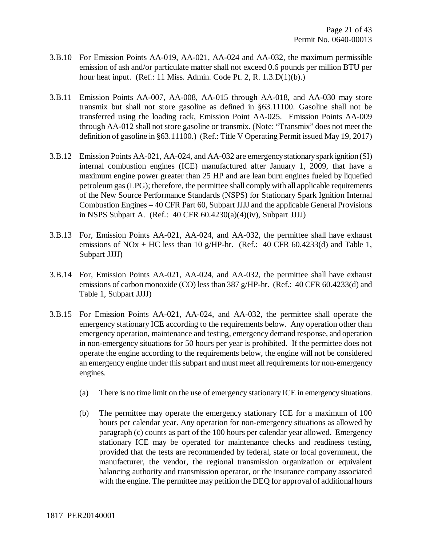- 3.B.10 For Emission Points AA-019, AA-021, AA-024 and AA-032, the maximum permissible emission of ash and/or particulate matter shall not exceed 0.6 pounds per million BTU per hour heat input. (Ref.: 11 Miss. Admin. Code Pt. 2, R. 1.3.D(1)(b).)
- 3.B.11 Emission Points AA-007, AA-008, AA-015 through AA-018, and AA-030 may store transmix but shall not store gasoline as defined in §63.11100. Gasoline shall not be transferred using the loading rack, Emission Point AA-025. Emission Points AA-009 through AA-012 shall not store gasoline or transmix. (Note: "Transmix" does not meet the definition of gasoline in §63.11100.) (Ref.: Title V Operating Permit issued May 19, 2017)
- 3.B.12 Emission Points AA-021, AA-024, and AA-032 are emergency stationary spark ignition (SI) internal combustion engines (ICE) manufactured after January 1, 2009, that have a maximum engine power greater than 25 HP and are lean burn engines fueled by liquefied petroleum gas (LPG); therefore, the permittee shall comply with all applicable requirements of the New Source Performance Standards (NSPS) for Stationary Spark Ignition Internal Combustion Engines – 40 CFR Part 60, Subpart JJJJ and the applicable General Provisions in NSPS Subpart A. (Ref.: 40 CFR 60.4230(a)(4)(iv), Subpart JJJJ)
- 3.B.13 For, Emission Points AA-021, AA-024, and AA-032, the permittee shall have exhaust emissions of NOx + HC less than 10 g/HP-hr. (Ref.: 40 CFR 60.4233(d) and Table 1, Subpart JJJJ)
- 3.B.14 For, Emission Points AA-021, AA-024, and AA-032, the permittee shall have exhaust emissions of carbon monoxide (CO) less than 387 g/HP-hr. (Ref.: 40 CFR 60.4233(d) and Table 1, Subpart JJJJ)
- 3.B.15 For Emission Points AA-021, AA-024, and AA-032, the permittee shall operate the emergency stationary ICE according to the requirements below. Any operation other than emergency operation, maintenance and testing, emergency demand response, and operation in non-emergency situations for 50 hours per year is prohibited. If the permittee does not operate the engine according to the requirements below, the engine will not be considered an emergency engine under this subpart and must meet all requirements for non-emergency engines.
	- (a) There is no time limit on the use of emergency stationary ICE in emergency situations.
	- (b) The permittee may operate the emergency stationary ICE for a maximum of 100 hours per calendar year. Any operation for non-emergency situations as allowed by paragraph (c) counts as part of the 100 hours per calendar year allowed. Emergency stationary ICE may be operated for maintenance checks and readiness testing, provided that the tests are recommended by federal, state or local government, the manufacturer, the vendor, the regional transmission organization or equivalent balancing authority and transmission operator, or the insurance company associated with the engine. The permittee may petition the DEQ for approval of additional hours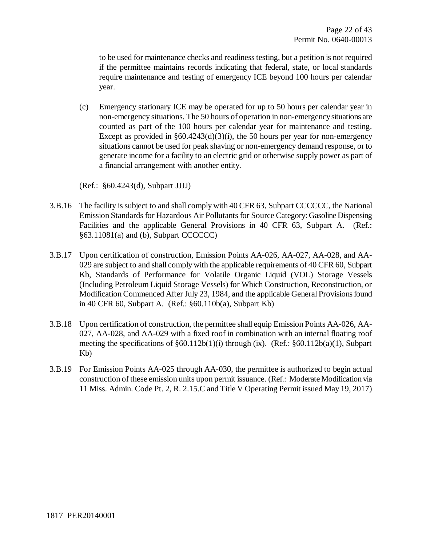to be used for maintenance checks and readiness testing, but a petition is not required if the permittee maintains records indicating that federal, state, or local standards require maintenance and testing of emergency ICE beyond 100 hours per calendar year.

(c) Emergency stationary ICE may be operated for up to 50 hours per calendar year in non-emergency situations. The 50 hours of operation in non-emergency situations are counted as part of the 100 hours per calendar year for maintenance and testing. Except as provided in  $§60.4243(d)(3)(i)$ , the 50 hours per year for non-emergency situations cannot be used for peak shaving or non-emergency demand response, or to generate income for a facility to an electric grid or otherwise supply power as part of a financial arrangement with another entity.

(Ref.: §60.4243(d), Subpart JJJJ)

- 3.B.16 The facility is subject to and shall comply with 40 CFR 63, Subpart CCCCCC, the National Emission Standards for Hazardous Air Pollutants for Source Category: Gasoline Dispensing Facilities and the applicable General Provisions in 40 CFR 63, Subpart A. (Ref.:  $§63.11081(a)$  and (b), Subpart CCCCCC)
- 3.B.17 Upon certification of construction, Emission Points AA-026, AA-027, AA-028, and AA-029 are subject to and shall comply with the applicable requirements of 40 CFR 60, Subpart Kb, Standards of Performance for Volatile Organic Liquid (VOL) Storage Vessels (Including Petroleum Liquid Storage Vessels) for Which Construction, Reconstruction, or Modification Commenced After July 23, 1984, and the applicable General Provisions found in 40 CFR 60, Subpart A. (Ref.: §60.110b(a), Subpart Kb)
- 3.B.18 Upon certification of construction, the permittee shall equip Emission Points AA-026, AA-027, AA-028, and AA-029 with a fixed roof in combination with an internal floating roof meeting the specifications of §60.112b(1)(i) through (ix). (Ref.: §60.112b(a)(1), Subpart Kb)
- 3.B.19 For Emission Points AA-025 through AA-030, the permittee is authorized to begin actual construction of these emission units upon permit issuance. (Ref.: Moderate Modification via 11 Miss. Admin. Code Pt. 2, R. 2.15.C and Title V Operating Permit issued May 19, 2017)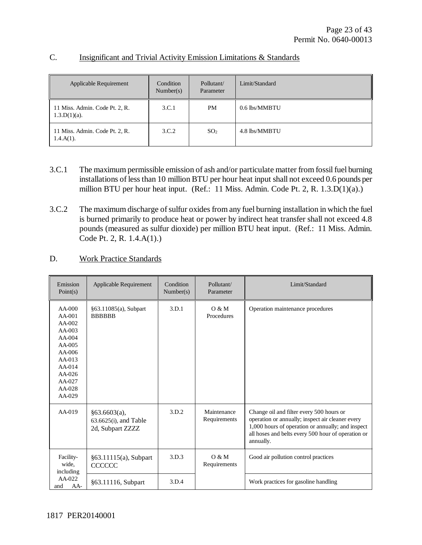| <b>Applicable Requirement</b>                     | Condition<br>Number(s) | Pollutant/<br>Parameter | Limit/Standard |
|---------------------------------------------------|------------------------|-------------------------|----------------|
| 11 Miss. Admin. Code Pt. 2, R.<br>$1.3.D(1)(a)$ . | 3.C.1                  | PM                      | 0.6 lbs/MMBTU  |
| 11 Miss. Admin. Code Pt. 2, R.<br>$1.4.A(1)$ .    | 3.C.2                  | SO <sub>2</sub>         | 4.8 lbs/MMBTU  |

### C. Insignificant and Trivial Activity Emission Limitations & Standards

- 3.C.1 The maximum permissible emission of ash and/or particulate matter from fossil fuel burning installations of less than 10 million BTU per hour heat input shall not exceed 0.6 pounds per million BTU per hour heat input. (Ref.: 11 Miss. Admin. Code Pt. 2, R. 1.3.D(1)(a).)
- 3.C.2 The maximum discharge of sulfur oxides from any fuel burning installation in which the fuel is burned primarily to produce heat or power by indirect heat transfer shall not exceed 4.8 pounds (measured as sulfur dioxide) per million BTU heat input. (Ref.: 11 Miss. Admin. Code Pt. 2, R. 1.4.A(1).)

### D. Work Practice Standards

| Emission<br>Point(s)                                                                                                                                 | Applicable Requirement                                       | Condition<br>Number(s) | Pollutant/<br>Parameter     | Limit/Standard                                                                                                                                                                                                       |
|------------------------------------------------------------------------------------------------------------------------------------------------------|--------------------------------------------------------------|------------------------|-----------------------------|----------------------------------------------------------------------------------------------------------------------------------------------------------------------------------------------------------------------|
| $AA-000$<br>$AA-001$<br>$AA-002$<br>$AA-003$<br>$AA-004$<br>$AA-005$<br>$AA-006$<br>$AA-013$<br>$AA-014$<br>$AA-026$<br>$AA-027$<br>AA-028<br>AA-029 | §63.11085(a), Subpart<br><b>BBBBBB</b>                       | 3.D.1                  | O & M<br>Procedures         | Operation maintenance procedures                                                                                                                                                                                     |
| $AA-019$                                                                                                                                             | §63.6603(a),<br>$63.6625(i)$ , and Table<br>2d, Subpart ZZZZ | 3.D.2                  | Maintenance<br>Requirements | Change oil and filter every 500 hours or<br>operation or annually; inspect air cleaner every<br>1,000 hours of operation or annually; and inspect<br>all hoses and belts every 500 hour of operation or<br>annually. |
| Facility-<br>wide.<br>including                                                                                                                      | $§63.11115(a)$ , Subpart<br><b>CCCCCC</b>                    | 3.D.3                  | O & M<br>Requirements       | Good air pollution control practices                                                                                                                                                                                 |
| AA-022<br>AA-<br>and                                                                                                                                 | §63.11116, Subpart                                           | 3.D.4                  |                             | Work practices for gasoline handling                                                                                                                                                                                 |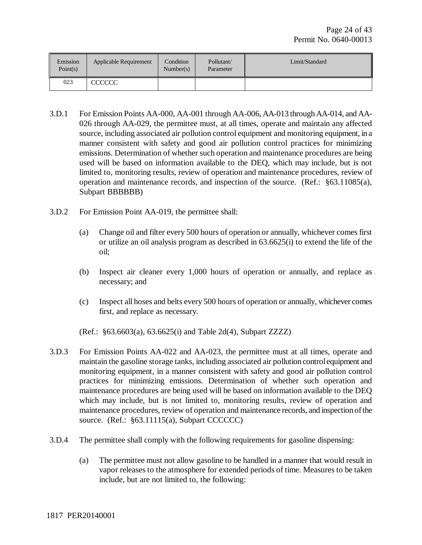| Emission<br>Point(s) | Applicable Requirement | Condition<br>Number(s) | Pollutant/<br>Parameter | Limit/Standard |
|----------------------|------------------------|------------------------|-------------------------|----------------|
| 023                  | <b>CCCCCC</b>          |                        |                         |                |

- 3.D.1 For Emission Points AA-000, AA-001 through AA-006, AA-013 through AA-014, and AA-026 through AA-029, the permittee must, at all times, operate and maintain any affected source, including associated air pollution control equipment and monitoring equipment, in a manner consistent with safety and good air pollution control practices for minimizing emissions. Determination of whether such operation and maintenance procedures are being used will be based on information available to the DEQ, which may include, but is not limited to, monitoring results, review of operation and maintenance procedures, review of operation and maintenance records, and inspection of the source. (Ref.: §63.11085(a), Subpart BBBBBB)
- 3.D.2 For Emission Point AA-019, the permittee shall:
	- (a) Change oil and filter every 500 hours of operation or annually, whichever comes first or utilize an oil analysis program as described in 63.6625(i) to extend the life of the oil;
	- (b) Inspect air cleaner every 1,000 hours of operation or annually, and replace as necessary; and
	- (c) Inspect all hoses and belts every 500 hours of operation or annually, whichever comes first, and replace as necessary.

(Ref.: §63.6603(a), 63.6625(i) and Table 2d(4), Subpart ZZZZ)

- 3.D.3 For Emission Points AA-022 and AA-023, the permittee must at all times, operate and maintain the gasoline storage tanks, including associated air pollution control equipment and monitoring equipment, in a manner consistent with safety and good air pollution control practices for minimizing emissions. Determination of whether such operation and maintenance procedures are being used will be based on information available to the DEQ which may include, but is not limited to, monitoring results, review of operation and maintenance procedures, review of operation and maintenance records, and inspection of the source. (Ref.: §63.11115(a), Subpart CCCCCC)
- 3.D.4 The permittee shall comply with the following requirements for gasoline dispensing:
	- (a) The permittee must not allow gasoline to be handled in a manner that would result in vapor releases to the atmosphere for extended periods of time. Measures to be taken include, but are not limited to, the following: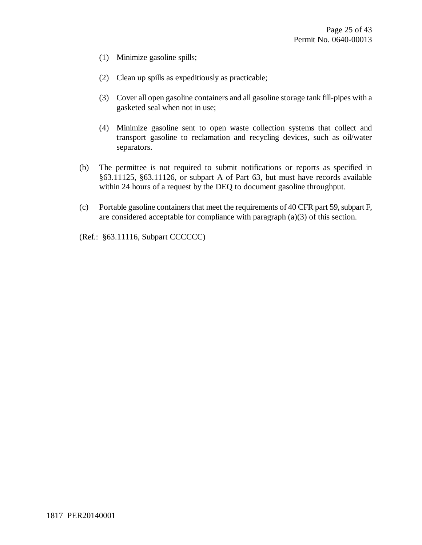- (1) Minimize gasoline spills;
- (2) Clean up spills as expeditiously as practicable;
- (3) Cover all open gasoline containers and all gasoline storage tank fill-pipes with a gasketed seal when not in use;
- (4) Minimize gasoline sent to open waste collection systems that collect and transport gasoline to reclamation and recycling devices, such as oil/water separators.
- (b) The permittee is not required to submit notifications or reports as specified in §63.11125, §63.11126, or subpart A of Part 63, but must have records available within 24 hours of a request by the DEQ to document gasoline throughput.
- (c) Portable gasoline containers that meet the requirements of 40 CFR part 59, subpart F, are considered acceptable for compliance with paragraph (a)(3) of this section.

(Ref.: §63.11116, Subpart CCCCCC)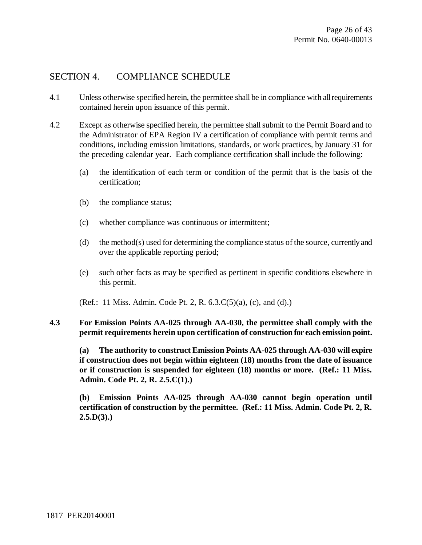### SECTION 4. COMPLIANCE SCHEDULE

- 4.1 Unless otherwise specified herein, the permittee shall be in compliance with all requirements contained herein upon issuance of this permit.
- 4.2 Except as otherwise specified herein, the permittee shall submit to the Permit Board and to the Administrator of EPA Region IV a certification of compliance with permit terms and conditions, including emission limitations, standards, or work practices, by January 31 for the preceding calendar year. Each compliance certification shall include the following:
	- (a) the identification of each term or condition of the permit that is the basis of the certification;
	- (b) the compliance status;
	- (c) whether compliance was continuous or intermittent;
	- (d) the method(s) used for determining the compliance status of the source, currently and over the applicable reporting period;
	- (e) such other facts as may be specified as pertinent in specific conditions elsewhere in this permit.
	- (Ref.: 11 Miss. Admin. Code Pt. 2, R. 6.3.C(5)(a), (c), and (d).)
- **4.3 For Emission Points AA-025 through AA-030, the permittee shall comply with the permit requirements herein upon certification of construction for each emission point.**

**(a) The authority to construct Emission Points AA-025 through AA-030 will expire if construction does not begin within eighteen (18) months from the date of issuance or if construction is suspended for eighteen (18) months or more. (Ref.: 11 Miss. Admin. Code Pt. 2, R. 2.5.C(1).)**

**(b) Emission Points AA-025 through AA-030 cannot begin operation until certification of construction by the permittee. (Ref.: 11 Miss. Admin. Code Pt. 2, R. 2.5.D(3).)**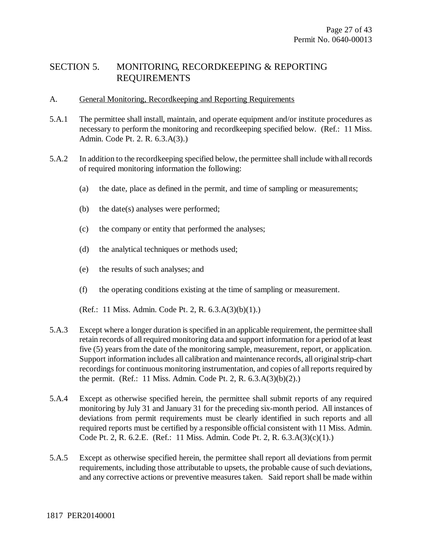# SECTION 5. MONITORING, RECORDKEEPING & REPORTING REQUIREMENTS

### A. General Monitoring, Recordkeeping and Reporting Requirements

- 5.A.1 The permittee shall install, maintain, and operate equipment and/or institute procedures as necessary to perform the monitoring and recordkeeping specified below. (Ref.: 11 Miss. Admin. Code Pt. 2. R. 6.3.A(3).)
- 5.A.2 In addition to the recordkeeping specified below, the permittee shall include with all records of required monitoring information the following:
	- (a) the date, place as defined in the permit, and time of sampling or measurements;
	- (b) the date(s) analyses were performed;
	- (c) the company or entity that performed the analyses;
	- (d) the analytical techniques or methods used;
	- (e) the results of such analyses; and
	- (f) the operating conditions existing at the time of sampling or measurement.

(Ref.: 11 Miss. Admin. Code Pt. 2, R. 6.3.A(3)(b)(1).)

- 5.A.3 Except where a longer duration is specified in an applicable requirement, the permittee shall retain records of all required monitoring data and support information for a period of at least five (5) years from the date of the monitoring sample, measurement, report, or application. Support information includes all calibration and maintenance records, all original strip-chart recordings for continuous monitoring instrumentation, and copies of all reports required by the permit. (Ref.: 11 Miss. Admin. Code Pt. 2, R. 6.3.A(3)(b)(2).)
- 5.A.4 Except as otherwise specified herein, the permittee shall submit reports of any required monitoring by July 31 and January 31 for the preceding six-month period. All instances of deviations from permit requirements must be clearly identified in such reports and all required reports must be certified by a responsible official consistent with 11 Miss. Admin. Code Pt. 2, R. 6.2.E. (Ref.: 11 Miss. Admin. Code Pt. 2, R. 6.3.A(3)(c)(1).)
- 5.A.5 Except as otherwise specified herein, the permittee shall report all deviations from permit requirements, including those attributable to upsets, the probable cause of such deviations, and any corrective actions or preventive measures taken. Said report shall be made within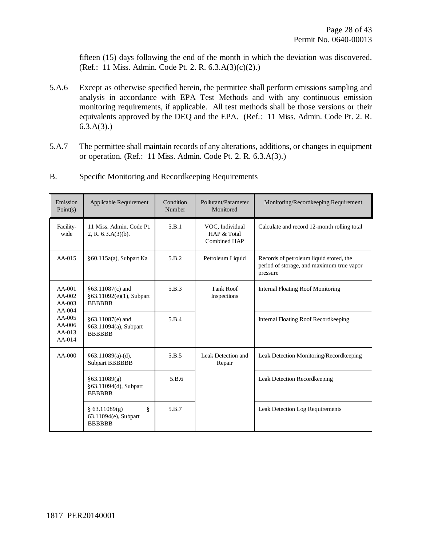fifteen (15) days following the end of the month in which the deviation was discovered. (Ref.: 11 Miss. Admin. Code Pt. 2. R. 6.3.A(3)(c)(2).)

- 5.A.6 Except as otherwise specified herein, the permittee shall perform emissions sampling and analysis in accordance with EPA Test Methods and with any continuous emission monitoring requirements, if applicable. All test methods shall be those versions or their equivalents approved by the DEQ and the EPA. (Ref.: 11 Miss. Admin. Code Pt. 2. R.  $6.3.A(3)$ .)
- 5.A.7 The permittee shall maintain records of any alterations, additions, or changes in equipment or operation. (Ref.: 11 Miss. Admin. Code Pt. 2. R. 6.3.A(3).)

| Emission<br>Point(s)                                                                     | Applicable Requirement                                        | Condition<br>Number | Pollutant/Parameter<br>Monitored               | Monitoring/Recordkeeping Requirement                                                             |
|------------------------------------------------------------------------------------------|---------------------------------------------------------------|---------------------|------------------------------------------------|--------------------------------------------------------------------------------------------------|
| Facility-<br>wide                                                                        | 11 Miss. Admin. Code Pt.<br>2, R. $6.3.A(3)(b)$ .             | 5.B.1               | VOC, Individual<br>HAP & Total<br>Combined HAP | Calculate and record 12-month rolling total                                                      |
| $AA-015$                                                                                 | §60.115a(a), Subpart Ka                                       | 5.B.2               | Petroleum Liquid                               | Records of petroleum liquid stored, the<br>period of storage, and maximum true vapor<br>pressure |
| $AA-001$<br>AA-002<br>$AA-003$<br>$AA-004$<br>$AA-005$<br>$AA-006$<br>$AA-013$<br>AA-014 | §63.11087(c) and<br>§63.11092(e)(1), Subpart<br><b>BBBBBB</b> | 5.B.3               | <b>Tank Roof</b><br>Inspections                | <b>Internal Floating Roof Monitoring</b>                                                         |
|                                                                                          | §63.11087(e) and<br>§63.11094(a), Subpart<br><b>BBBBBB</b>    | 5.B.4               |                                                | Internal Floating Roof Recordkeeping                                                             |
| $AA-000$                                                                                 | $§63.11089(a)-(d),$<br><b>Subpart BBBBBB</b>                  | 5.B.5               | Leak Detection and<br>Repair                   | Leak Detection Monitoring/Recordkeeping                                                          |
|                                                                                          | §63.11089(g)<br>§63.11094(d), Subpart<br><b>BBBBBB</b>        | 5.B.6               |                                                | <b>Leak Detection Recordkeeping</b>                                                              |
|                                                                                          | ş<br>$§$ 63.11089(g)<br>63.11094(e), Subpart<br><b>BBBBBB</b> | 5.B.7               |                                                | Leak Detection Log Requirements                                                                  |

B. Specific Monitoring and Recordkeeping Requirements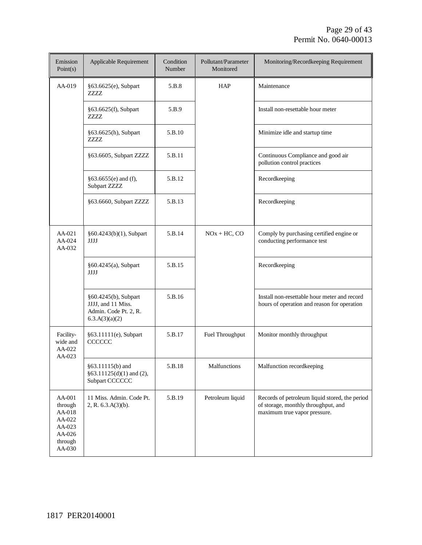| Emission<br>Point(s)                                                           | Applicable Requirement                                                                | Condition<br>Number | Pollutant/Parameter<br>Monitored | Monitoring/Recordkeeping Requirement                                                                                  |
|--------------------------------------------------------------------------------|---------------------------------------------------------------------------------------|---------------------|----------------------------------|-----------------------------------------------------------------------------------------------------------------------|
| AA-019                                                                         | §63.6625(e), Subpart<br>7777.                                                         | 5.B.8               | HAP                              | Maintenance                                                                                                           |
|                                                                                | §63.6625(f), Subpart<br>ZZZZ                                                          | 5.B.9               |                                  | Install non-resettable hour meter                                                                                     |
|                                                                                | §63.6625(h), Subpart<br>ZZZZ                                                          | 5.B.10              |                                  | Minimize idle and startup time                                                                                        |
|                                                                                | §63.6605, Subpart ZZZZ                                                                | 5.B.11              |                                  | Continuous Compliance and good air<br>pollution control practices                                                     |
|                                                                                | $§63.6655(e)$ and (f),<br>Subpart ZZZZ                                                | 5.B.12              |                                  | Recordkeeping                                                                                                         |
|                                                                                | §63.6660, Subpart ZZZZ                                                                | 5.B.13              |                                  | Recordkeeping                                                                                                         |
| AA-021<br>AA-024<br>AA-032                                                     | §60.4243(b)(1), Subpart<br><b>JJJJ</b>                                                | 5.B.14              | $NOx + HC$ , $CO$                | Comply by purchasing certified engine or<br>conducting performance test                                               |
|                                                                                | §60.4245(a), Subpart<br><b>JJJJ</b>                                                   | 5.B.15              |                                  | Recordkeeping                                                                                                         |
|                                                                                | §60.4245(b), Subpart<br>JJJJ, and 11 Miss.<br>Admin. Code Pt. 2, R.<br>6.3.A(3)(a)(2) | 5.B.16              |                                  | Install non-resettable hour meter and record<br>hours of operation and reason for operation                           |
| Facility-<br>wide and<br>AA-022<br>$AA-023$                                    | §63.11111(e), Subpart<br>CCCCCC                                                       | 5.B.17              | Fuel Throughput                  | Monitor monthly throughput                                                                                            |
|                                                                                | §63.11115(b) and<br>§63.11125(d)(1) and (2),<br>Subpart CCCCCC                        | 5.B.18              | Malfunctions                     | Malfunction recordkeeping                                                                                             |
| AA-001<br>through<br>AA-018<br>AA-022<br>AA-023<br>AA-026<br>through<br>AA-030 | 11 Miss. Admin. Code Pt.<br>2, R. 6.3.A(3)(b).                                        | 5.B.19              | Petroleum liquid                 | Records of petroleum liquid stored, the period<br>of storage, monthly throughput, and<br>maximum true vapor pressure. |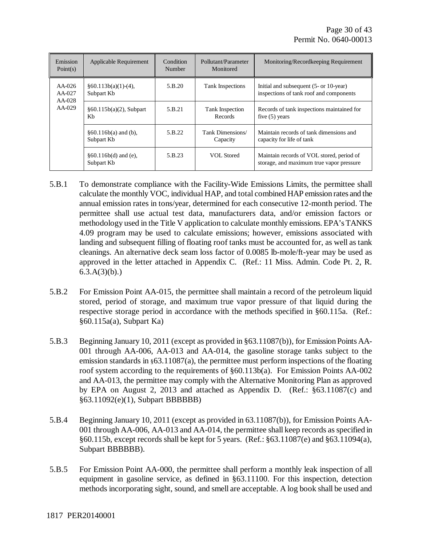| Emission<br>Point $(s)$                      | Applicable Requirement               | Condition<br>Number | Pollutant/Parameter<br>Monitored | Monitoring/Recordkeeping Requirement                                                  |
|----------------------------------------------|--------------------------------------|---------------------|----------------------------------|---------------------------------------------------------------------------------------|
| $AA-026$<br>$AA-027$<br>$AA-028$<br>$AA-029$ | $§60.113b(a)(1)-(4),$<br>Subpart Kb  | 5.B.20              | Tank Inspections                 | Initial and subsequent $(5$ - or 10-year)<br>inspections of tank roof and components  |
|                                              | $§60.115b(a)(2)$ , Subpart<br>Kb     | 5.B.21              | Tank Inspection<br>Records       | Records of tank inspections maintained for<br>five $(5)$ years                        |
|                                              | $§60.116b(a)$ and (b),<br>Subpart Kb | 5.B.22              | Tank Dimensions/<br>Capacity     | Maintain records of tank dimensions and<br>capacity for life of tank                  |
|                                              | $§60.116b(d)$ and (e),<br>Subpart Kb | 5.B.23              | VOL Stored                       | Maintain records of VOL stored, period of<br>storage, and maximum true vapor pressure |

- 5.B.1 To demonstrate compliance with the Facility-Wide Emissions Limits, the permittee shall calculate the monthly VOC, individual HAP, and total combined HAP emission rates and the annual emission rates in tons/year, determined for each consecutive 12-month period. The permittee shall use actual test data, manufacturers data, and/or emission factors or methodology used in the Title V application to calculate monthly emissions. EPA's TANKS 4.09 program may be used to calculate emissions; however, emissions associated with landing and subsequent filling of floating roof tanks must be accounted for, as well as tank cleanings. An alternative deck seam loss factor of 0.0085 lb-mole/ft-year may be used as approved in the letter attached in Appendix C. (Ref.: 11 Miss. Admin. Code Pt. 2, R.  $6.3.A(3)(b)$ .)
- 5.B.2 For Emission Point AA-015, the permittee shall maintain a record of the petroleum liquid stored, period of storage, and maximum true vapor pressure of that liquid during the respective storage period in accordance with the methods specified in §60.115a. (Ref.:  $§60.115a(a)$ , Subpart Ka)
- 5.B.3 Beginning January 10, 2011 (except as provided in §63.11087(b)), for Emission Points AA-001 through AA-006, AA-013 and AA-014, the gasoline storage tanks subject to the emission standards in  $\S 63.11087(a)$ , the permittee must perform inspections of the floating roof system according to the requirements of §60.113b(a). For Emission Points AA-002 and AA-013, the permittee may comply with the Alternative Monitoring Plan as approved by EPA on August 2, 2013 and attached as Appendix D. (Ref.: §63.11087(c) and §63.11092(e)(1), Subpart BBBBBB)
- 5.B.4 Beginning January 10, 2011 (except as provided in 63.11087(b)), for Emission Points AA-001 through AA-006, AA-013 and AA-014, the permittee shall keep records as specified in §60.115b, except records shall be kept for 5 years. (Ref.: §63.11087(e) and §63.11094(a), Subpart BBBBBB).
- 5.B.5 For Emission Point AA-000, the permittee shall perform a monthly leak inspection of all equipment in gasoline service, as defined in §63.11100. For this inspection, detection methods incorporating sight, sound, and smell are acceptable. A log book shall be used and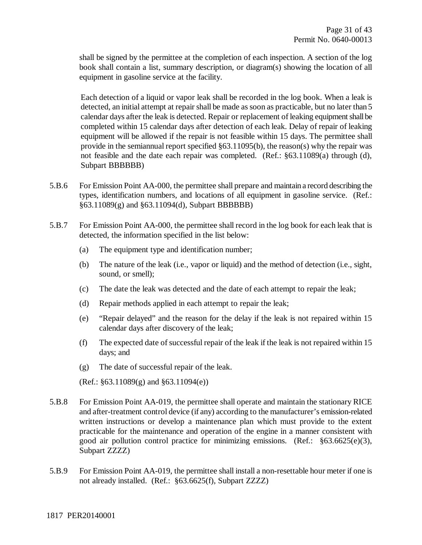shall be signed by the permittee at the completion of each inspection. A section of the log book shall contain a list, summary description, or diagram(s) showing the location of all equipment in gasoline service at the facility.

Each detection of a liquid or vapor leak shall be recorded in the log book. When a leak is detected, an initial attempt at repair shall be made as soon as practicable, but no later than 5 calendar days after the leak is detected. Repair or replacement of leaking equipment shall be completed within 15 calendar days after detection of each leak. Delay of repair of leaking equipment will be allowed if the repair is not feasible within 15 days. The permittee shall provide in the semiannual report specified §63.11095(b), the reason(s) why the repair was not feasible and the date each repair was completed. (Ref.: §63.11089(a) through (d), Subpart BBBBBB)

- 5.B.6 For Emission Point AA-000, the permittee shall prepare and maintain a record describing the types, identification numbers, and locations of all equipment in gasoline service. (Ref.: §63.11089(g) and §63.11094(d), Subpart BBBBBB)
- 5.B.7 For Emission Point AA-000, the permittee shall record in the log book for each leak that is detected, the information specified in the list below:
	- (a) The equipment type and identification number;
	- (b) The nature of the leak (i.e., vapor or liquid) and the method of detection (i.e., sight, sound, or smell);
	- (c) The date the leak was detected and the date of each attempt to repair the leak;
	- (d) Repair methods applied in each attempt to repair the leak;
	- (e) "Repair delayed" and the reason for the delay if the leak is not repaired within 15 calendar days after discovery of the leak;
	- (f) The expected date of successful repair of the leak if the leak is not repaired within 15 days; and
	- (g) The date of successful repair of the leak.
	- (Ref.: §63.11089(g) and §63.11094(e))
- 5.B.8 For Emission Point AA-019, the permittee shall operate and maintain the stationary RICE and after-treatment control device (if any) according to the manufacturer's emission-related written instructions or develop a maintenance plan which must provide to the extent practicable for the maintenance and operation of the engine in a manner consistent with good air pollution control practice for minimizing emissions. (Ref.: §63.6625(e)(3), Subpart ZZZZ)
- 5.B.9 For Emission Point AA-019, the permittee shall install a non-resettable hour meter if one is not already installed. (Ref.: §63.6625(f), Subpart ZZZZ)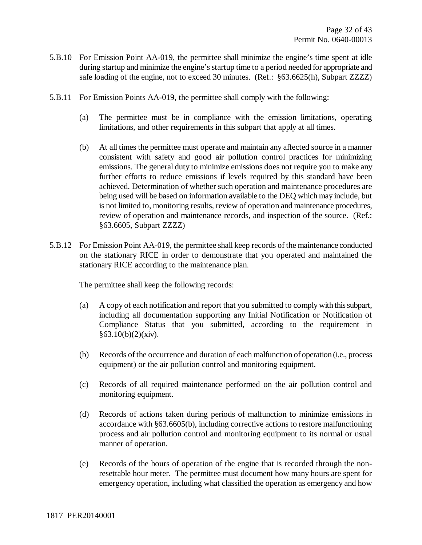- 5.B.10 For Emission Point AA-019, the permittee shall minimize the engine's time spent at idle during startup and minimize the engine's startup time to a period needed for appropriate and safe loading of the engine, not to exceed 30 minutes. (Ref.: §63.6625(h), Subpart ZZZZ)
- 5.B.11 For Emission Points AA-019, the permittee shall comply with the following:
	- (a) The permittee must be in compliance with the emission limitations, operating limitations, and other requirements in this subpart that apply at all times.
	- (b) At all times the permittee must operate and maintain any affected source in a manner consistent with safety and good air pollution control practices for minimizing emissions. The general duty to minimize emissions does not require you to make any further efforts to reduce emissions if levels required by this standard have been achieved. Determination of whether such operation and maintenance procedures are being used will be based on information available to the DEQ which may include, but is not limited to, monitoring results, review of operation and maintenance procedures, review of operation and maintenance records, and inspection of the source. (Ref.: §63.6605, Subpart ZZZZ)
- 5.B.12 For Emission Point AA-019, the permittee shall keep records of the maintenance conducted on the stationary RICE in order to demonstrate that you operated and maintained the stationary RICE according to the maintenance plan.

The permittee shall keep the following records:

- (a) A copy of each notification and report that you submitted to comply with this subpart, including all documentation supporting any Initial Notification or Notification of Compliance Status that you submitted, according to the requirement in  $§63.10(b)(2)(xiv).$
- (b) Records of the occurrence and duration of each malfunction of operation (i.e., process equipment) or the air pollution control and monitoring equipment.
- (c) Records of all required maintenance performed on the air pollution control and monitoring equipment.
- (d) Records of actions taken during periods of malfunction to minimize emissions in accordance with §63.6605(b), including corrective actions to restore malfunctioning process and air pollution control and monitoring equipment to its normal or usual manner of operation.
- (e) Records of the hours of operation of the engine that is recorded through the nonresettable hour meter. The permittee must document how many hours are spent for emergency operation, including what classified the operation as emergency and how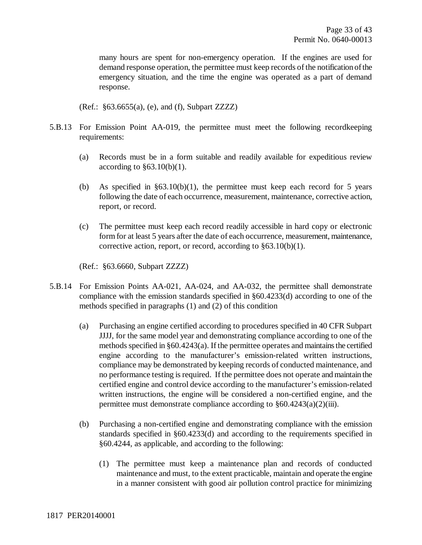many hours are spent for non-emergency operation. If the engines are used for demand response operation, the permittee must keep records of the notification of the emergency situation, and the time the engine was operated as a part of demand response.

(Ref.: §63.6655(a), (e), and (f), Subpart ZZZZ)

- 5.B.13 For Emission Point AA-019, the permittee must meet the following recordkeeping requirements:
	- (a) Records must be in a form suitable and readily available for expeditious review according to  $§63.10(b)(1)$ .
	- (b) As specified in  $\S 63.10(b)(1)$ , the permittee must keep each record for 5 years following the date of each occurrence, measurement, maintenance, corrective action, report, or record.
	- (c) The permittee must keep each record readily accessible in hard copy or electronic form for at least 5 years after the date of each occurrence, measurement, maintenance, corrective action, report, or record, according to §63.10(b)(1).

(Ref.: §63.6660, Subpart ZZZZ)

- 5.B.14 For Emission Points AA-021, AA-024, and AA-032, the permittee shall demonstrate compliance with the emission standards specified in §60.4233(d) according to one of the methods specified in paragraphs (1) and (2) of this condition
	- (a) Purchasing an engine certified according to procedures specified in 40 CFR Subpart JJJJ, for the same model year and demonstrating compliance according to one of the methods specified in  $\S 60.4243(a)$ . If the permittee operates and maintains the certified engine according to the manufacturer's emission-related written instructions, compliance may be demonstrated by keeping records of conducted maintenance, and no performance testing is required. If the permittee does not operate and maintain the certified engine and control device according to the manufacturer's emission-related written instructions, the engine will be considered a non-certified engine, and the permittee must demonstrate compliance according to §60.4243(a)(2)(iii).
	- (b) Purchasing a non-certified engine and demonstrating compliance with the emission standards specified in §60.4233(d) and according to the requirements specified in §60.4244, as applicable, and according to the following:
		- (1) The permittee must keep a maintenance plan and records of conducted maintenance and must, to the extent practicable, maintain and operate the engine in a manner consistent with good air pollution control practice for minimizing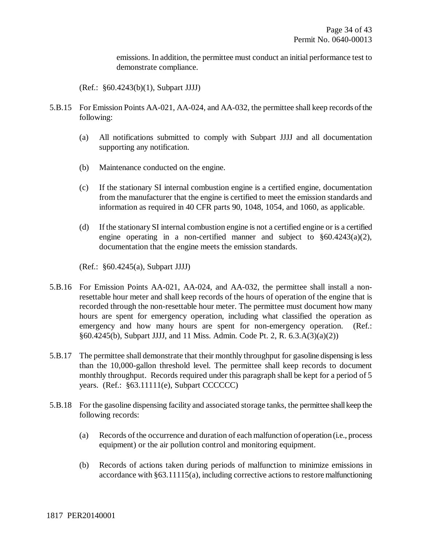emissions. In addition, the permittee must conduct an initial performance test to demonstrate compliance.

(Ref.: §60.4243(b)(1), Subpart JJJJ)

- 5.B.15 For Emission Points AA-021, AA-024, and AA-032, the permittee shall keep records of the following:
	- (a) All notifications submitted to comply with Subpart JJJJ and all documentation supporting any notification.
	- (b) Maintenance conducted on the engine.
	- (c) If the stationary SI internal combustion engine is a certified engine, documentation from the manufacturer that the engine is certified to meet the emission standards and information as required in 40 CFR parts 90, 1048, 1054, and 1060, as applicable.
	- (d) If the stationary SI internal combustion engine is not a certified engine or is a certified engine operating in a non-certified manner and subject to  $\S 60.4243(a)(2)$ , documentation that the engine meets the emission standards.

(Ref.: §60.4245(a), Subpart JJJJ)

- 5.B.16 For Emission Points AA-021, AA-024, and AA-032, the permittee shall install a nonresettable hour meter and shall keep records of the hours of operation of the engine that is recorded through the non-resettable hour meter. The permittee must document how many hours are spent for emergency operation, including what classified the operation as emergency and how many hours are spent for non-emergency operation. (Ref.: §60.4245(b), Subpart JJJJ, and 11 Miss. Admin. Code Pt. 2, R. 6.3.A(3)(a)(2))
- 5.B.17 The permittee shall demonstrate that their monthly throughput for gasoline dispensing is less than the 10,000-gallon threshold level. The permittee shall keep records to document monthly throughput. Records required under this paragraph shall be kept for a period of 5 years. (Ref.: §63.11111(e), Subpart CCCCCC)
- 5.B.18 For the gasoline dispensing facility and associated storage tanks, the permittee shallkeep the following records:
	- (a) Records of the occurrence and duration of each malfunction of operation (i.e., process equipment) or the air pollution control and monitoring equipment.
	- (b) Records of actions taken during periods of malfunction to minimize emissions in accordance with §63.11115(a), including corrective actions to restore malfunctioning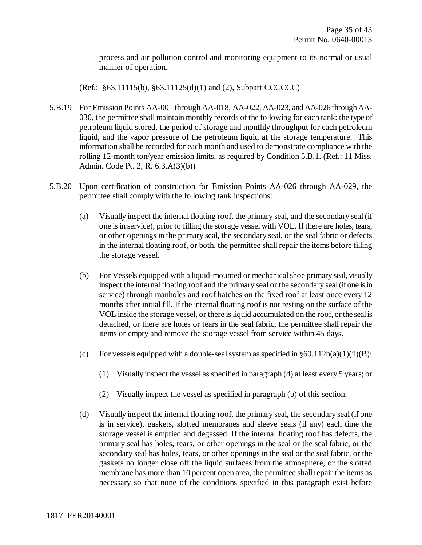process and air pollution control and monitoring equipment to its normal or usual manner of operation.

(Ref.: §63.11115(b), §63.11125(d)(1) and (2), Subpart CCCCCC)

- 5.B.19 For Emission Points AA-001 through AA-018, AA-022, AA-023, and AA-026 through AA-030, the permittee shall maintain monthly records of the following for each tank: the type of petroleum liquid stored, the period of storage and monthly throughput for each petroleum liquid, and the vapor pressure of the petroleum liquid at the storage temperature. This information shall be recorded for each month and used to demonstrate compliance with the rolling 12-month ton/year emission limits, as required by Condition 5.B.1. (Ref.: 11 Miss. Admin. Code Pt. 2, R. 6.3.A(3)(b))
- 5.B.20 Upon certification of construction for Emission Points AA-026 through AA-029, the permittee shall comply with the following tank inspections:
	- (a) Visually inspect the internal floating roof, the primary seal, and the secondary seal (if one is in service), prior to filling the storage vessel with VOL. If there are holes, tears, or other openings in the primary seal, the secondary seal, or the seal fabric or defects in the internal floating roof, or both, the permittee shall repair the items before filling the storage vessel.
	- (b) For Vessels equipped with a liquid-mounted or mechanical shoe primary seal, visually inspect the internal floating roof and the primary seal or the secondary seal (if one is in service) through manholes and roof hatches on the fixed roof at least once every 12 months after initial fill. If the internal floating roof is not resting on the surface of the VOL inside the storage vessel, or there is liquid accumulated on the roof, or the seal is detached, or there are holes or tears in the seal fabric, the permittee shall repair the items or empty and remove the storage vessel from service within 45 days.
	- (c) For vessels equipped with a double-seal system as specified in  $§60.112b(a)(1)(ii)(B)$ :
		- (1) Visually inspect the vessel as specified in paragraph (d) at least every 5 years; or
		- (2) Visually inspect the vessel as specified in paragraph (b) of this section.
	- (d) Visually inspect the internal floating roof, the primary seal, the secondary seal (if one is in service), gaskets, slotted membranes and sleeve seals (if any) each time the storage vessel is emptied and degassed. If the internal floating roof has defects, the primary seal has holes, tears, or other openings in the seal or the seal fabric, or the secondary seal has holes, tears, or other openings in the seal or the seal fabric, or the gaskets no longer close off the liquid surfaces from the atmosphere, or the slotted membrane has more than 10 percent open area, the permittee shall repair the items as necessary so that none of the conditions specified in this paragraph exist before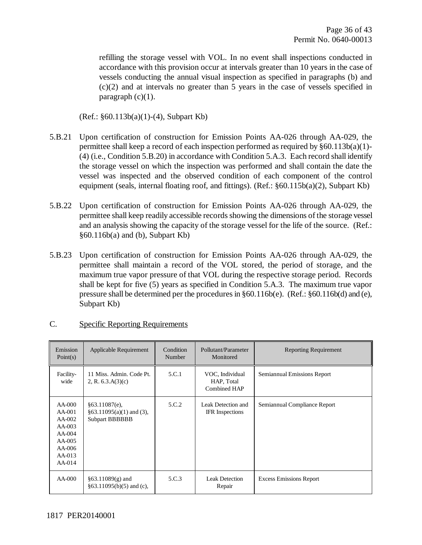refilling the storage vessel with VOL. In no event shall inspections conducted in accordance with this provision occur at intervals greater than 10 years in the case of vessels conducting the annual visual inspection as specified in paragraphs (b) and (c)(2) and at intervals no greater than 5 years in the case of vessels specified in paragraph  $(c)(1)$ .

(Ref.: §60.113b(a)(1)-(4), Subpart Kb)

- 5.B.21 Upon certification of construction for Emission Points AA-026 through AA-029, the permittee shall keep a record of each inspection performed as required by  $\S 60.113b(a)(1)$ -(4) (i.e., Condition 5.B.20) in accordance with Condition 5.A.3. Each record shall identify the storage vessel on which the inspection was performed and shall contain the date the vessel was inspected and the observed condition of each component of the control equipment (seals, internal floating roof, and fittings). (Ref.: §60.115b(a)(2), Subpart Kb)
- 5.B.22 Upon certification of construction for Emission Points AA-026 through AA-029, the permittee shall keep readily accessible records showing the dimensions of the storage vessel and an analysis showing the capacity of the storage vessel for the life of the source. (Ref.:  $§60.116b(a)$  and (b), Subpart Kb)
- 5.B.23 Upon certification of construction for Emission Points AA-026 through AA-029, the permittee shall maintain a record of the VOL stored, the period of storage, and the maximum true vapor pressure of that VOL during the respective storage period. Records shall be kept for five (5) years as specified in Condition 5.A.3. The maximum true vapor pressure shall be determined per the procedures in §60.116b(e). (Ref.: §60.116b(d) and (e), Subpart Kb)

| Emission<br>Point $(s)$                                                                                  | Applicable Requirement                                               | Condition<br>Number | Pollutant/Parameter<br>Monitored              | <b>Reporting Requirement</b>   |
|----------------------------------------------------------------------------------------------------------|----------------------------------------------------------------------|---------------------|-----------------------------------------------|--------------------------------|
| Facility-<br>wide                                                                                        | 11 Miss. Admin. Code Pt.<br>2, R. $6.3.A(3)(c)$                      | 5.C.1               | VOC, Individual<br>HAP, Total<br>Combined HAP | Semiannual Emissions Report    |
| $AA-000$<br>$AA-001$<br>$AA-002$<br>$AA-003$<br>$AA-004$<br>$AA-005$<br>$AA-006$<br>$AA-013$<br>$AA-014$ | §63.11087(e),<br>$§63.11095(a)(1)$ and (3),<br><b>Subpart BBBBBB</b> | 5.C.2               | Leak Detection and<br><b>IFR</b> Inspections  | Semiannual Compliance Report   |
| $AA-000$                                                                                                 | $§63.11089(g)$ and<br>$§63.11095(b)(5)$ and (c),                     | 5.C.3               | <b>Leak Detection</b><br>Repair               | <b>Excess Emissions Report</b> |

#### C. Specific Reporting Requirements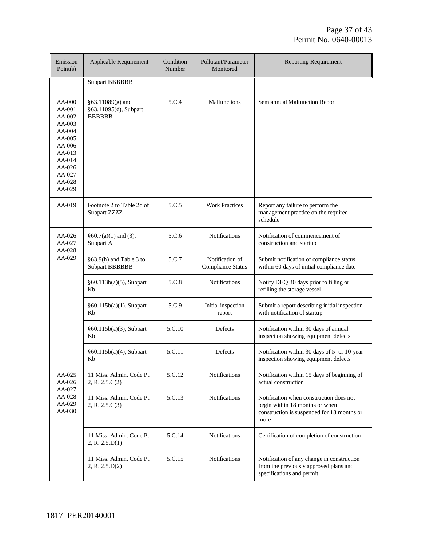| Emission<br>Point(s)                                                                                                               | Applicable Requirement                                       | Condition<br>Number | Pollutant/Parameter<br>Monitored            | <b>Reporting Requirement</b>                                                                                                    |
|------------------------------------------------------------------------------------------------------------------------------------|--------------------------------------------------------------|---------------------|---------------------------------------------|---------------------------------------------------------------------------------------------------------------------------------|
|                                                                                                                                    | <b>Subpart BBBBBB</b>                                        |                     |                                             |                                                                                                                                 |
| AA-000<br>AA-001<br>AA-002<br>$AA-003$<br>AA-004<br>AA-005<br>AA-006<br>$AA-013$<br>AA-014<br>AA-026<br>AA-027<br>AA-028<br>AA-029 | $§63.11089(g)$ and<br>§63.11095(d), Subpart<br><b>BBBBBB</b> | 5.C.4               | Malfunctions                                | Semiannual Malfunction Report                                                                                                   |
| $AA-019$                                                                                                                           | Footnote 2 to Table 2d of<br>Subpart ZZZZ                    | 5.C.5               | <b>Work Practices</b>                       | Report any failure to perform the<br>management practice on the required<br>schedule                                            |
| AA-026<br>AA-027<br>AA-028                                                                                                         | $§60.7(a)(1)$ and (3),<br>Subpart A                          | 5.C.6               | <b>Notifications</b>                        | Notification of commencement of<br>construction and startup                                                                     |
| AA-029                                                                                                                             | §63.9(h) and Table 3 to<br><b>Subpart BBBBBB</b>             | 5.C.7               | Notification of<br><b>Compliance Status</b> | Submit notification of compliance status<br>within 60 days of initial compliance date                                           |
|                                                                                                                                    | §60.113b(a)(5), Subpart<br>Kb                                | 5.C.8               | <b>Notifications</b>                        | Notify DEQ 30 days prior to filling or<br>refilling the storage vessel                                                          |
|                                                                                                                                    | §60.115b(a)(1), Subpart<br>Kb                                | 5.C.9               | Initial inspection<br>report                | Submit a report describing initial inspection<br>with notification of startup                                                   |
|                                                                                                                                    | §60.115b(a)(3), Subpart<br>Kb                                | 5.C.10              | Defects                                     | Notification within 30 days of annual<br>inspection showing equipment defects                                                   |
|                                                                                                                                    | §60.115b(a)(4), Subpart<br>Kb                                | 5.C.11              | Defects                                     | Notification within 30 days of 5- or 10-year<br>inspection showing equipment defects                                            |
| AA-025<br>AA-026<br>AA-027                                                                                                         | 11 Miss. Admin. Code Pt.<br>2, R. 2.5.C(2)                   | 5.C.12              | <b>Notifications</b>                        | Notification within 15 days of beginning of<br>actual construction                                                              |
| AA-028<br>AA-029<br>AA-030                                                                                                         | 11 Miss. Admin. Code Pt.<br>2, R. 2.5.C(3)                   | 5.C.13              | <b>Notifications</b>                        | Notification when construction does not<br>begin within 18 months or when<br>construction is suspended for 18 months or<br>more |
|                                                                                                                                    | 11 Miss. Admin. Code Pt.<br>2, R. 2.5.D(1)                   | 5.C.14              | Notifications                               | Certification of completion of construction                                                                                     |
|                                                                                                                                    | 11 Miss. Admin. Code Pt.<br>2, R. 2.5.D(2)                   | 5.C.15              | <b>Notifications</b>                        | Notification of any change in construction<br>from the previously approved plans and<br>specifications and permit               |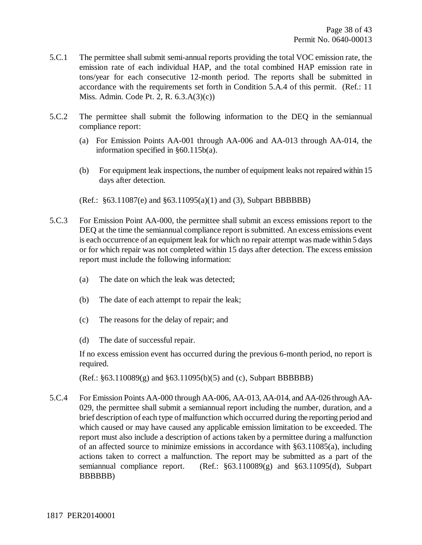- 5.C.1 The permittee shall submit semi-annual reports providing the total VOC emission rate, the emission rate of each individual HAP, and the total combined HAP emission rate in tons/year for each consecutive 12-month period. The reports shall be submitted in accordance with the requirements set forth in Condition 5.A.4 of this permit. (Ref.: 11 Miss. Admin. Code Pt. 2, R. 6.3.A(3)(c))
- 5.C.2 The permittee shall submit the following information to the DEQ in the semiannual compliance report:
	- (a) For Emission Points AA-001 through AA-006 and AA-013 through AA-014, the information specified in §60.115b(a).
	- (b) For equipment leak inspections, the number of equipment leaks not repaired within 15 days after detection.

(Ref.: §63.11087(e) and §63.11095(a)(1) and (3), Subpart BBBBBB)

- 5.C.3 For Emission Point AA-000, the permittee shall submit an excess emissions report to the DEQ at the time the semiannual compliance report is submitted. An excess emissions event is each occurrence of an equipment leak for which no repair attempt was made within 5 days or for which repair was not completed within 15 days after detection. The excess emission report must include the following information:
	- (a) The date on which the leak was detected;
	- (b) The date of each attempt to repair the leak;
	- (c) The reasons for the delay of repair; and
	- (d) The date of successful repair.

If no excess emission event has occurred during the previous 6-month period, no report is required.

(Ref.: §63.110089(g) and §63.11095(b)(5) and (c), Subpart BBBBBB)

5.C.4 For Emission Points AA-000 through AA-006, AA-013, AA-014, and AA-026 through AA-029, the permittee shall submit a semiannual report including the number, duration, and a brief description of each type of malfunction which occurred during the reporting period and which caused or may have caused any applicable emission limitation to be exceeded. The report must also include a description of actions taken by a permittee during a malfunction of an affected source to minimize emissions in accordance with §63.11085(a), including actions taken to correct a malfunction. The report may be submitted as a part of the semiannual compliance report. (Ref.: §63.110089(g) and §63.11095(d), Subpart BBBBBB)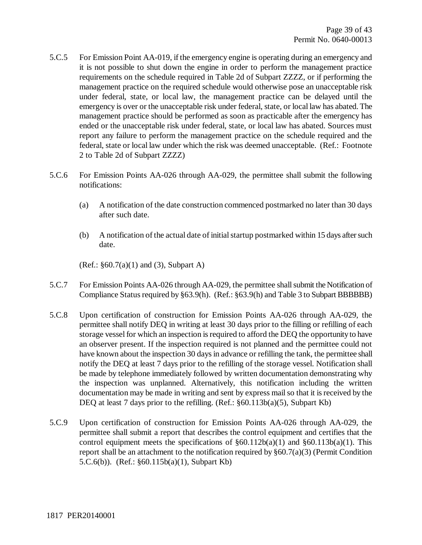- 5.C.5 For Emission Point AA-019, if the emergency engine is operating during an emergency and it is not possible to shut down the engine in order to perform the management practice requirements on the schedule required in Table 2d of Subpart ZZZZ, or if performing the management practice on the required schedule would otherwise pose an unacceptable risk under federal, state, or local law, the management practice can be delayed until the emergency is over or the unacceptable risk under federal, state, or local law has abated. The management practice should be performed as soon as practicable after the emergency has ended or the unacceptable risk under federal, state, or local law has abated. Sources must report any failure to perform the management practice on the schedule required and the federal, state or local law under which the risk was deemed unacceptable. (Ref.: Footnote 2 to Table 2d of Subpart ZZZZ)
- 5.C.6 For Emission Points AA-026 through AA-029, the permittee shall submit the following notifications:
	- (a) A notification of the date construction commenced postmarked no later than 30 days after such date.
	- (b) A notification of the actual date of initial startup postmarked within 15 days after such date.

(Ref.: §60.7(a)(1) and (3), Subpart A)

- 5.C.7 For Emission Points AA-026 through AA-029, the permittee shall submit the Notification of Compliance Status required by §63.9(h). (Ref.: §63.9(h) and Table 3 to Subpart BBBBBB)
- 5.C.8 Upon certification of construction for Emission Points AA-026 through AA-029, the permittee shall notify DEQ in writing at least 30 days prior to the filling or refilling of each storage vessel for which an inspection is required to afford the DEQ the opportunity to have an observer present. If the inspection required is not planned and the permittee could not have known about the inspection 30 days in advance or refilling the tank, the permittee shall notify the DEQ at least 7 days prior to the refilling of the storage vessel. Notification shall be made by telephone immediately followed by written documentation demonstrating why the inspection was unplanned. Alternatively, this notification including the written documentation may be made in writing and sent by express mail so that it is received by the DEQ at least 7 days prior to the refilling. (Ref.:  $\S 60.113b(a)(5)$ , Subpart Kb)
- 5.C.9 Upon certification of construction for Emission Points AA-026 through AA-029, the permittee shall submit a report that describes the control equipment and certifies that the control equipment meets the specifications of  $\S 60.112b(a)(1)$  and  $\S 60.113b(a)(1)$ . This report shall be an attachment to the notification required by §60.7(a)(3) (Permit Condition 5.C.6(b)). (Ref.: §60.115b(a)(1), Subpart Kb)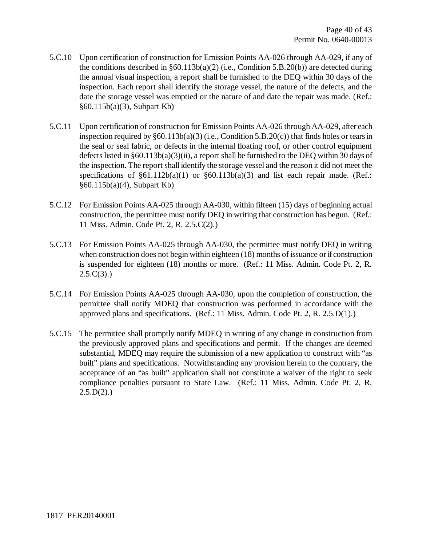- 5.C.10 Upon certification of construction for Emission Points AA-026 through AA-029, if any of the conditions described in  $\S 60.113b(a)(2)$  (i.e., Condition 5.B.20(b)) are detected during the annual visual inspection, a report shall be furnished to the DEQ within 30 days of the inspection. Each report shall identify the storage vessel, the nature of the defects, and the date the storage vessel was emptied or the nature of and date the repair was made. (Ref.: §60.115b(a)(3), Subpart Kb)
- 5.C.11 Upon certification of construction for Emission Points AA-026 through AA-029, after each inspection required by §60.113b(a)(3) (i.e., Condition 5.B.20(c)) that finds holes or tears in the seal or seal fabric, or defects in the internal floating roof, or other control equipment defects listed in §60.113b(a)(3)(ii), a report shall be furnished to the DEQ within 30 days of the inspection. The report shall identify the storage vessel and the reason it did not meet the specifications of  $\S61.112b(a)(1)$  or  $\S60.113b(a)(3)$  and list each repair made. (Ref.: §60.115b(a)(4), Subpart Kb)
- 5.C.12 For Emission Points AA-025 through AA-030, within fifteen (15) days of beginning actual construction, the permittee must notify DEQ in writing that construction has begun. (Ref.: 11 Miss. Admin. Code Pt. 2, R. 2.5.C(2).)
- 5.C.13 For Emission Points AA-025 through AA-030, the permittee must notify DEQ in writing when construction does not begin within eighteen (18) months of issuance or if construction is suspended for eighteen (18) months or more. (Ref.: 11 Miss. Admin. Code Pt. 2, R.  $2.5.C(3)$ .)
- 5.C.14 For Emission Points AA-025 through AA-030, upon the completion of construction, the permittee shall notify MDEQ that construction was performed in accordance with the approved plans and specifications. (Ref.: 11 Miss. Admin. Code Pt. 2, R. 2.5.D(1).)
- 5.C.15 The permittee shall promptly notify MDEQ in writing of any change in construction from the previously approved plans and specifications and permit. If the changes are deemed substantial, MDEQ may require the submission of a new application to construct with "as built" plans and specifications. Notwithstanding any provision herein to the contrary, the acceptance of an "as built" application shall not constitute a waiver of the right to seek compliance penalties pursuant to State Law. (Ref.: 11 Miss. Admin. Code Pt. 2, R.  $2.5.D(2)$ .)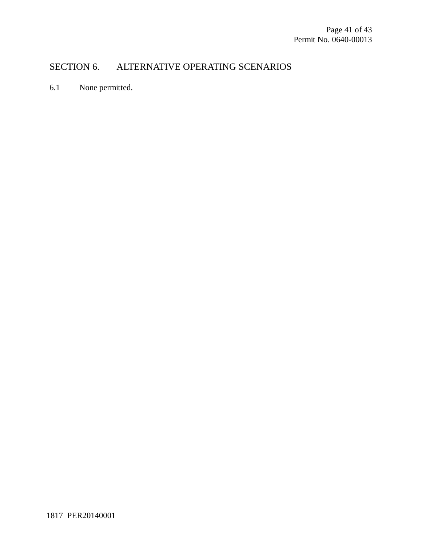# SECTION 6. ALTERNATIVE OPERATING SCENARIOS

6.1 None permitted.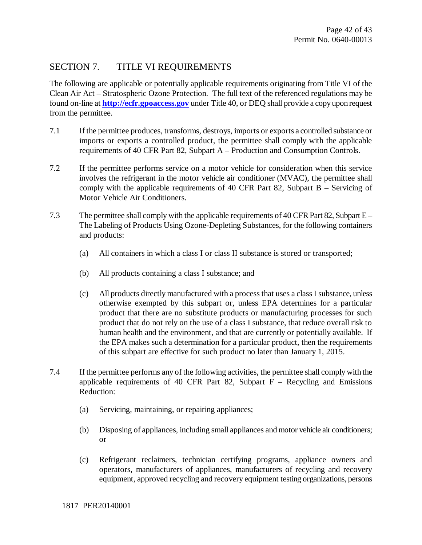# SECTION 7. TITLE VI REQUIREMENTS

The following are applicable or potentially applicable requirements originating from Title VI of the Clean Air Act – Stratospheric Ozone Protection. The full text of the referenced regulations may be found on-line at **http://ecfr.gpoaccess.gov** under Title 40, or DEQ shall provide a copy upon request from the permittee.

- 7.1 If the permittee produces, transforms, destroys, imports or exports a controlled substance or imports or exports a controlled product, the permittee shall comply with the applicable requirements of 40 CFR Part 82, Subpart A – Production and Consumption Controls.
- 7.2 If the permittee performs service on a motor vehicle for consideration when this service involves the refrigerant in the motor vehicle air conditioner (MVAC), the permittee shall comply with the applicable requirements of 40 CFR Part 82, Subpart B – Servicing of Motor Vehicle Air Conditioners.
- 7.3 The permittee shall comply with the applicable requirements of 40 CFR Part 82, Subpart E The Labeling of Products Using Ozone-Depleting Substances, for the following containers and products:
	- (a) All containers in which a class I or class II substance is stored or transported;
	- (b) All products containing a class I substance; and
	- (c) All products directly manufactured with a process that uses a class I substance, unless otherwise exempted by this subpart or, unless EPA determines for a particular product that there are no substitute products or manufacturing processes for such product that do not rely on the use of a class I substance, that reduce overall risk to human health and the environment, and that are currently or potentially available. If the EPA makes such a determination for a particular product, then the requirements of this subpart are effective for such product no later than January 1, 2015.
- 7.4 If the permittee performs any of the following activities, the permittee shall comply with the applicable requirements of 40 CFR Part 82, Subpart  $F -$  Recycling and Emissions Reduction:
	- (a) Servicing, maintaining, or repairing appliances;
	- (b) Disposing of appliances, including small appliances and motor vehicle air conditioners; or
	- (c) Refrigerant reclaimers, technician certifying programs, appliance owners and operators, manufacturers of appliances, manufacturers of recycling and recovery equipment, approved recycling and recovery equipment testing organizations, persons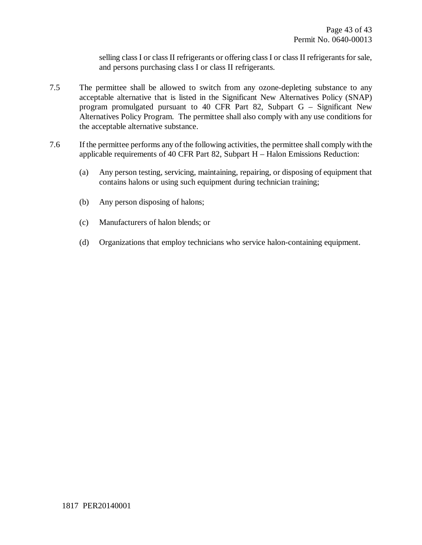selling class I or class II refrigerants or offering class I or class II refrigerants for sale, and persons purchasing class I or class II refrigerants.

- 7.5 The permittee shall be allowed to switch from any ozone-depleting substance to any acceptable alternative that is listed in the Significant New Alternatives Policy (SNAP) program promulgated pursuant to 40 CFR Part 82, Subpart G – Significant New Alternatives Policy Program. The permittee shall also comply with any use conditions for the acceptable alternative substance.
- 7.6 If the permittee performs any of the following activities, the permittee shall comply with the applicable requirements of 40 CFR Part 82, Subpart H – Halon Emissions Reduction:
	- (a) Any person testing, servicing, maintaining, repairing, or disposing of equipment that contains halons or using such equipment during technician training;
	- (b) Any person disposing of halons;
	- (c) Manufacturers of halon blends; or
	- (d) Organizations that employ technicians who service halon-containing equipment.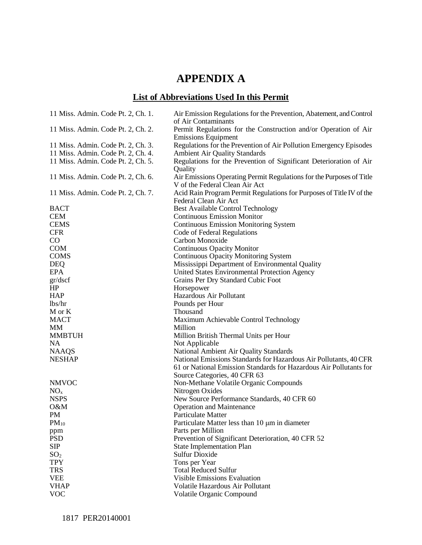# **APPENDIX A**

# **List of Abbreviations Used In this Permit**

| Permit Regulations for the Construction and/or Operation of Air<br>11 Miss. Admin. Code Pt. 2, Ch. 2.<br><b>Emissions Equipment</b><br>Regulations for the Prevention of Air Pollution Emergency Episodes<br>11 Miss. Admin. Code Pt. 2, Ch. 3.<br><b>Ambient Air Quality Standards</b><br>11 Miss. Admin. Code Pt. 2, Ch. 4.<br>Regulations for the Prevention of Significant Deterioration of Air<br>11 Miss. Admin. Code Pt. 2, Ch. 5.<br>Quality<br>Air Emissions Operating Permit Regulations for the Purposes of Title<br>11 Miss. Admin. Code Pt. 2, Ch. 6.<br>V of the Federal Clean Air Act<br>Acid Rain Program Permit Regulations for Purposes of Title IV of the<br>11 Miss. Admin. Code Pt. 2, Ch. 7.<br>Federal Clean Air Act<br><b>Best Available Control Technology</b><br><b>BACT</b><br><b>CEM</b><br><b>Continuous Emission Monitor</b><br><b>CEMS</b><br><b>Continuous Emission Monitoring System</b><br><b>CFR</b><br>Code of Federal Regulations<br>$\rm CO$<br>Carbon Monoxide<br><b>COM</b><br><b>Continuous Opacity Monitor</b><br><b>Continuous Opacity Monitoring System</b><br><b>COMS</b><br>Mississippi Department of Environmental Quality<br><b>DEQ</b><br><b>EPA</b><br>United States Environmental Protection Agency<br>Grains Per Dry Standard Cubic Foot<br>gr/dscf<br>HP<br>Horsepower<br>Hazardous Air Pollutant<br><b>HAP</b><br>lbs/hr<br>Pounds per Hour<br>Thousand<br>M or K<br><b>MACT</b><br>Maximum Achievable Control Technology<br>Million<br>MМ<br><b>MMBTUH</b><br>Million British Thermal Units per Hour<br><b>NA</b><br>Not Applicable<br>National Ambient Air Quality Standards<br><b>NAAQS</b><br>National Emissions Standards for Hazardous Air Pollutants, 40 CFR<br><b>NESHAP</b><br>61 or National Emission Standards for Hazardous Air Pollutants for<br>Source Categories, 40 CFR 63<br><b>NMVOC</b><br>Non-Methane Volatile Organic Compounds<br>Nitrogen Oxides<br>NO <sub>x</sub><br><b>NSPS</b><br>New Source Performance Standards, 40 CFR 60<br>O&M<br><b>Operation and Maintenance</b><br>PM<br>Particulate Matter<br>$PM_{10}$<br>Particulate Matter less than 10 µm in diameter<br>Parts per Million<br>ppm<br><b>PSD</b><br>Prevention of Significant Deterioration, 40 CFR 52<br><b>SIP</b><br><b>State Implementation Plan</b><br>SO <sub>2</sub><br><b>Sulfur Dioxide</b><br><b>TPY</b><br>Tons per Year<br><b>TRS</b><br><b>Total Reduced Sulfur</b><br><b>VEE</b><br><b>Visible Emissions Evaluation</b><br><b>VHAP</b><br>Volatile Hazardous Air Pollutant | 11 Miss. Admin. Code Pt. 2, Ch. 1. | Air Emission Regulations for the Prevention, Abatement, and Control<br>of Air Contaminants |
|----------------------------------------------------------------------------------------------------------------------------------------------------------------------------------------------------------------------------------------------------------------------------------------------------------------------------------------------------------------------------------------------------------------------------------------------------------------------------------------------------------------------------------------------------------------------------------------------------------------------------------------------------------------------------------------------------------------------------------------------------------------------------------------------------------------------------------------------------------------------------------------------------------------------------------------------------------------------------------------------------------------------------------------------------------------------------------------------------------------------------------------------------------------------------------------------------------------------------------------------------------------------------------------------------------------------------------------------------------------------------------------------------------------------------------------------------------------------------------------------------------------------------------------------------------------------------------------------------------------------------------------------------------------------------------------------------------------------------------------------------------------------------------------------------------------------------------------------------------------------------------------------------------------------------------------------------------------------------------------------------------------------------------------------------------------------------------------------------------------------------------------------------------------------------------------------------------------------------------------------------------------------------------------------------------------------------------------------------------------------------------------------------------------------------------------------------------------------------------------------------------------------------------------|------------------------------------|--------------------------------------------------------------------------------------------|
|                                                                                                                                                                                                                                                                                                                                                                                                                                                                                                                                                                                                                                                                                                                                                                                                                                                                                                                                                                                                                                                                                                                                                                                                                                                                                                                                                                                                                                                                                                                                                                                                                                                                                                                                                                                                                                                                                                                                                                                                                                                                                                                                                                                                                                                                                                                                                                                                                                                                                                                                        |                                    |                                                                                            |
|                                                                                                                                                                                                                                                                                                                                                                                                                                                                                                                                                                                                                                                                                                                                                                                                                                                                                                                                                                                                                                                                                                                                                                                                                                                                                                                                                                                                                                                                                                                                                                                                                                                                                                                                                                                                                                                                                                                                                                                                                                                                                                                                                                                                                                                                                                                                                                                                                                                                                                                                        |                                    |                                                                                            |
|                                                                                                                                                                                                                                                                                                                                                                                                                                                                                                                                                                                                                                                                                                                                                                                                                                                                                                                                                                                                                                                                                                                                                                                                                                                                                                                                                                                                                                                                                                                                                                                                                                                                                                                                                                                                                                                                                                                                                                                                                                                                                                                                                                                                                                                                                                                                                                                                                                                                                                                                        |                                    |                                                                                            |
|                                                                                                                                                                                                                                                                                                                                                                                                                                                                                                                                                                                                                                                                                                                                                                                                                                                                                                                                                                                                                                                                                                                                                                                                                                                                                                                                                                                                                                                                                                                                                                                                                                                                                                                                                                                                                                                                                                                                                                                                                                                                                                                                                                                                                                                                                                                                                                                                                                                                                                                                        |                                    |                                                                                            |
|                                                                                                                                                                                                                                                                                                                                                                                                                                                                                                                                                                                                                                                                                                                                                                                                                                                                                                                                                                                                                                                                                                                                                                                                                                                                                                                                                                                                                                                                                                                                                                                                                                                                                                                                                                                                                                                                                                                                                                                                                                                                                                                                                                                                                                                                                                                                                                                                                                                                                                                                        |                                    |                                                                                            |
|                                                                                                                                                                                                                                                                                                                                                                                                                                                                                                                                                                                                                                                                                                                                                                                                                                                                                                                                                                                                                                                                                                                                                                                                                                                                                                                                                                                                                                                                                                                                                                                                                                                                                                                                                                                                                                                                                                                                                                                                                                                                                                                                                                                                                                                                                                                                                                                                                                                                                                                                        |                                    |                                                                                            |
|                                                                                                                                                                                                                                                                                                                                                                                                                                                                                                                                                                                                                                                                                                                                                                                                                                                                                                                                                                                                                                                                                                                                                                                                                                                                                                                                                                                                                                                                                                                                                                                                                                                                                                                                                                                                                                                                                                                                                                                                                                                                                                                                                                                                                                                                                                                                                                                                                                                                                                                                        |                                    |                                                                                            |
|                                                                                                                                                                                                                                                                                                                                                                                                                                                                                                                                                                                                                                                                                                                                                                                                                                                                                                                                                                                                                                                                                                                                                                                                                                                                                                                                                                                                                                                                                                                                                                                                                                                                                                                                                                                                                                                                                                                                                                                                                                                                                                                                                                                                                                                                                                                                                                                                                                                                                                                                        |                                    |                                                                                            |
|                                                                                                                                                                                                                                                                                                                                                                                                                                                                                                                                                                                                                                                                                                                                                                                                                                                                                                                                                                                                                                                                                                                                                                                                                                                                                                                                                                                                                                                                                                                                                                                                                                                                                                                                                                                                                                                                                                                                                                                                                                                                                                                                                                                                                                                                                                                                                                                                                                                                                                                                        |                                    |                                                                                            |
|                                                                                                                                                                                                                                                                                                                                                                                                                                                                                                                                                                                                                                                                                                                                                                                                                                                                                                                                                                                                                                                                                                                                                                                                                                                                                                                                                                                                                                                                                                                                                                                                                                                                                                                                                                                                                                                                                                                                                                                                                                                                                                                                                                                                                                                                                                                                                                                                                                                                                                                                        |                                    |                                                                                            |
|                                                                                                                                                                                                                                                                                                                                                                                                                                                                                                                                                                                                                                                                                                                                                                                                                                                                                                                                                                                                                                                                                                                                                                                                                                                                                                                                                                                                                                                                                                                                                                                                                                                                                                                                                                                                                                                                                                                                                                                                                                                                                                                                                                                                                                                                                                                                                                                                                                                                                                                                        |                                    |                                                                                            |
|                                                                                                                                                                                                                                                                                                                                                                                                                                                                                                                                                                                                                                                                                                                                                                                                                                                                                                                                                                                                                                                                                                                                                                                                                                                                                                                                                                                                                                                                                                                                                                                                                                                                                                                                                                                                                                                                                                                                                                                                                                                                                                                                                                                                                                                                                                                                                                                                                                                                                                                                        |                                    |                                                                                            |
|                                                                                                                                                                                                                                                                                                                                                                                                                                                                                                                                                                                                                                                                                                                                                                                                                                                                                                                                                                                                                                                                                                                                                                                                                                                                                                                                                                                                                                                                                                                                                                                                                                                                                                                                                                                                                                                                                                                                                                                                                                                                                                                                                                                                                                                                                                                                                                                                                                                                                                                                        |                                    |                                                                                            |
|                                                                                                                                                                                                                                                                                                                                                                                                                                                                                                                                                                                                                                                                                                                                                                                                                                                                                                                                                                                                                                                                                                                                                                                                                                                                                                                                                                                                                                                                                                                                                                                                                                                                                                                                                                                                                                                                                                                                                                                                                                                                                                                                                                                                                                                                                                                                                                                                                                                                                                                                        |                                    |                                                                                            |
|                                                                                                                                                                                                                                                                                                                                                                                                                                                                                                                                                                                                                                                                                                                                                                                                                                                                                                                                                                                                                                                                                                                                                                                                                                                                                                                                                                                                                                                                                                                                                                                                                                                                                                                                                                                                                                                                                                                                                                                                                                                                                                                                                                                                                                                                                                                                                                                                                                                                                                                                        |                                    |                                                                                            |
|                                                                                                                                                                                                                                                                                                                                                                                                                                                                                                                                                                                                                                                                                                                                                                                                                                                                                                                                                                                                                                                                                                                                                                                                                                                                                                                                                                                                                                                                                                                                                                                                                                                                                                                                                                                                                                                                                                                                                                                                                                                                                                                                                                                                                                                                                                                                                                                                                                                                                                                                        |                                    |                                                                                            |
|                                                                                                                                                                                                                                                                                                                                                                                                                                                                                                                                                                                                                                                                                                                                                                                                                                                                                                                                                                                                                                                                                                                                                                                                                                                                                                                                                                                                                                                                                                                                                                                                                                                                                                                                                                                                                                                                                                                                                                                                                                                                                                                                                                                                                                                                                                                                                                                                                                                                                                                                        |                                    |                                                                                            |
|                                                                                                                                                                                                                                                                                                                                                                                                                                                                                                                                                                                                                                                                                                                                                                                                                                                                                                                                                                                                                                                                                                                                                                                                                                                                                                                                                                                                                                                                                                                                                                                                                                                                                                                                                                                                                                                                                                                                                                                                                                                                                                                                                                                                                                                                                                                                                                                                                                                                                                                                        |                                    |                                                                                            |
|                                                                                                                                                                                                                                                                                                                                                                                                                                                                                                                                                                                                                                                                                                                                                                                                                                                                                                                                                                                                                                                                                                                                                                                                                                                                                                                                                                                                                                                                                                                                                                                                                                                                                                                                                                                                                                                                                                                                                                                                                                                                                                                                                                                                                                                                                                                                                                                                                                                                                                                                        |                                    |                                                                                            |
|                                                                                                                                                                                                                                                                                                                                                                                                                                                                                                                                                                                                                                                                                                                                                                                                                                                                                                                                                                                                                                                                                                                                                                                                                                                                                                                                                                                                                                                                                                                                                                                                                                                                                                                                                                                                                                                                                                                                                                                                                                                                                                                                                                                                                                                                                                                                                                                                                                                                                                                                        |                                    |                                                                                            |
|                                                                                                                                                                                                                                                                                                                                                                                                                                                                                                                                                                                                                                                                                                                                                                                                                                                                                                                                                                                                                                                                                                                                                                                                                                                                                                                                                                                                                                                                                                                                                                                                                                                                                                                                                                                                                                                                                                                                                                                                                                                                                                                                                                                                                                                                                                                                                                                                                                                                                                                                        |                                    |                                                                                            |
|                                                                                                                                                                                                                                                                                                                                                                                                                                                                                                                                                                                                                                                                                                                                                                                                                                                                                                                                                                                                                                                                                                                                                                                                                                                                                                                                                                                                                                                                                                                                                                                                                                                                                                                                                                                                                                                                                                                                                                                                                                                                                                                                                                                                                                                                                                                                                                                                                                                                                                                                        |                                    |                                                                                            |
|                                                                                                                                                                                                                                                                                                                                                                                                                                                                                                                                                                                                                                                                                                                                                                                                                                                                                                                                                                                                                                                                                                                                                                                                                                                                                                                                                                                                                                                                                                                                                                                                                                                                                                                                                                                                                                                                                                                                                                                                                                                                                                                                                                                                                                                                                                                                                                                                                                                                                                                                        |                                    |                                                                                            |
|                                                                                                                                                                                                                                                                                                                                                                                                                                                                                                                                                                                                                                                                                                                                                                                                                                                                                                                                                                                                                                                                                                                                                                                                                                                                                                                                                                                                                                                                                                                                                                                                                                                                                                                                                                                                                                                                                                                                                                                                                                                                                                                                                                                                                                                                                                                                                                                                                                                                                                                                        |                                    |                                                                                            |
|                                                                                                                                                                                                                                                                                                                                                                                                                                                                                                                                                                                                                                                                                                                                                                                                                                                                                                                                                                                                                                                                                                                                                                                                                                                                                                                                                                                                                                                                                                                                                                                                                                                                                                                                                                                                                                                                                                                                                                                                                                                                                                                                                                                                                                                                                                                                                                                                                                                                                                                                        |                                    |                                                                                            |
|                                                                                                                                                                                                                                                                                                                                                                                                                                                                                                                                                                                                                                                                                                                                                                                                                                                                                                                                                                                                                                                                                                                                                                                                                                                                                                                                                                                                                                                                                                                                                                                                                                                                                                                                                                                                                                                                                                                                                                                                                                                                                                                                                                                                                                                                                                                                                                                                                                                                                                                                        |                                    |                                                                                            |
|                                                                                                                                                                                                                                                                                                                                                                                                                                                                                                                                                                                                                                                                                                                                                                                                                                                                                                                                                                                                                                                                                                                                                                                                                                                                                                                                                                                                                                                                                                                                                                                                                                                                                                                                                                                                                                                                                                                                                                                                                                                                                                                                                                                                                                                                                                                                                                                                                                                                                                                                        |                                    |                                                                                            |
|                                                                                                                                                                                                                                                                                                                                                                                                                                                                                                                                                                                                                                                                                                                                                                                                                                                                                                                                                                                                                                                                                                                                                                                                                                                                                                                                                                                                                                                                                                                                                                                                                                                                                                                                                                                                                                                                                                                                                                                                                                                                                                                                                                                                                                                                                                                                                                                                                                                                                                                                        |                                    |                                                                                            |
|                                                                                                                                                                                                                                                                                                                                                                                                                                                                                                                                                                                                                                                                                                                                                                                                                                                                                                                                                                                                                                                                                                                                                                                                                                                                                                                                                                                                                                                                                                                                                                                                                                                                                                                                                                                                                                                                                                                                                                                                                                                                                                                                                                                                                                                                                                                                                                                                                                                                                                                                        |                                    |                                                                                            |
|                                                                                                                                                                                                                                                                                                                                                                                                                                                                                                                                                                                                                                                                                                                                                                                                                                                                                                                                                                                                                                                                                                                                                                                                                                                                                                                                                                                                                                                                                                                                                                                                                                                                                                                                                                                                                                                                                                                                                                                                                                                                                                                                                                                                                                                                                                                                                                                                                                                                                                                                        |                                    |                                                                                            |
|                                                                                                                                                                                                                                                                                                                                                                                                                                                                                                                                                                                                                                                                                                                                                                                                                                                                                                                                                                                                                                                                                                                                                                                                                                                                                                                                                                                                                                                                                                                                                                                                                                                                                                                                                                                                                                                                                                                                                                                                                                                                                                                                                                                                                                                                                                                                                                                                                                                                                                                                        |                                    |                                                                                            |
|                                                                                                                                                                                                                                                                                                                                                                                                                                                                                                                                                                                                                                                                                                                                                                                                                                                                                                                                                                                                                                                                                                                                                                                                                                                                                                                                                                                                                                                                                                                                                                                                                                                                                                                                                                                                                                                                                                                                                                                                                                                                                                                                                                                                                                                                                                                                                                                                                                                                                                                                        |                                    |                                                                                            |
|                                                                                                                                                                                                                                                                                                                                                                                                                                                                                                                                                                                                                                                                                                                                                                                                                                                                                                                                                                                                                                                                                                                                                                                                                                                                                                                                                                                                                                                                                                                                                                                                                                                                                                                                                                                                                                                                                                                                                                                                                                                                                                                                                                                                                                                                                                                                                                                                                                                                                                                                        |                                    |                                                                                            |
|                                                                                                                                                                                                                                                                                                                                                                                                                                                                                                                                                                                                                                                                                                                                                                                                                                                                                                                                                                                                                                                                                                                                                                                                                                                                                                                                                                                                                                                                                                                                                                                                                                                                                                                                                                                                                                                                                                                                                                                                                                                                                                                                                                                                                                                                                                                                                                                                                                                                                                                                        |                                    |                                                                                            |
|                                                                                                                                                                                                                                                                                                                                                                                                                                                                                                                                                                                                                                                                                                                                                                                                                                                                                                                                                                                                                                                                                                                                                                                                                                                                                                                                                                                                                                                                                                                                                                                                                                                                                                                                                                                                                                                                                                                                                                                                                                                                                                                                                                                                                                                                                                                                                                                                                                                                                                                                        |                                    |                                                                                            |
|                                                                                                                                                                                                                                                                                                                                                                                                                                                                                                                                                                                                                                                                                                                                                                                                                                                                                                                                                                                                                                                                                                                                                                                                                                                                                                                                                                                                                                                                                                                                                                                                                                                                                                                                                                                                                                                                                                                                                                                                                                                                                                                                                                                                                                                                                                                                                                                                                                                                                                                                        |                                    |                                                                                            |
|                                                                                                                                                                                                                                                                                                                                                                                                                                                                                                                                                                                                                                                                                                                                                                                                                                                                                                                                                                                                                                                                                                                                                                                                                                                                                                                                                                                                                                                                                                                                                                                                                                                                                                                                                                                                                                                                                                                                                                                                                                                                                                                                                                                                                                                                                                                                                                                                                                                                                                                                        |                                    |                                                                                            |
|                                                                                                                                                                                                                                                                                                                                                                                                                                                                                                                                                                                                                                                                                                                                                                                                                                                                                                                                                                                                                                                                                                                                                                                                                                                                                                                                                                                                                                                                                                                                                                                                                                                                                                                                                                                                                                                                                                                                                                                                                                                                                                                                                                                                                                                                                                                                                                                                                                                                                                                                        |                                    |                                                                                            |
|                                                                                                                                                                                                                                                                                                                                                                                                                                                                                                                                                                                                                                                                                                                                                                                                                                                                                                                                                                                                                                                                                                                                                                                                                                                                                                                                                                                                                                                                                                                                                                                                                                                                                                                                                                                                                                                                                                                                                                                                                                                                                                                                                                                                                                                                                                                                                                                                                                                                                                                                        |                                    |                                                                                            |
|                                                                                                                                                                                                                                                                                                                                                                                                                                                                                                                                                                                                                                                                                                                                                                                                                                                                                                                                                                                                                                                                                                                                                                                                                                                                                                                                                                                                                                                                                                                                                                                                                                                                                                                                                                                                                                                                                                                                                                                                                                                                                                                                                                                                                                                                                                                                                                                                                                                                                                                                        |                                    |                                                                                            |
|                                                                                                                                                                                                                                                                                                                                                                                                                                                                                                                                                                                                                                                                                                                                                                                                                                                                                                                                                                                                                                                                                                                                                                                                                                                                                                                                                                                                                                                                                                                                                                                                                                                                                                                                                                                                                                                                                                                                                                                                                                                                                                                                                                                                                                                                                                                                                                                                                                                                                                                                        |                                    |                                                                                            |
|                                                                                                                                                                                                                                                                                                                                                                                                                                                                                                                                                                                                                                                                                                                                                                                                                                                                                                                                                                                                                                                                                                                                                                                                                                                                                                                                                                                                                                                                                                                                                                                                                                                                                                                                                                                                                                                                                                                                                                                                                                                                                                                                                                                                                                                                                                                                                                                                                                                                                                                                        |                                    |                                                                                            |
|                                                                                                                                                                                                                                                                                                                                                                                                                                                                                                                                                                                                                                                                                                                                                                                                                                                                                                                                                                                                                                                                                                                                                                                                                                                                                                                                                                                                                                                                                                                                                                                                                                                                                                                                                                                                                                                                                                                                                                                                                                                                                                                                                                                                                                                                                                                                                                                                                                                                                                                                        |                                    |                                                                                            |
|                                                                                                                                                                                                                                                                                                                                                                                                                                                                                                                                                                                                                                                                                                                                                                                                                                                                                                                                                                                                                                                                                                                                                                                                                                                                                                                                                                                                                                                                                                                                                                                                                                                                                                                                                                                                                                                                                                                                                                                                                                                                                                                                                                                                                                                                                                                                                                                                                                                                                                                                        |                                    |                                                                                            |
|                                                                                                                                                                                                                                                                                                                                                                                                                                                                                                                                                                                                                                                                                                                                                                                                                                                                                                                                                                                                                                                                                                                                                                                                                                                                                                                                                                                                                                                                                                                                                                                                                                                                                                                                                                                                                                                                                                                                                                                                                                                                                                                                                                                                                                                                                                                                                                                                                                                                                                                                        | <b>VOC</b>                         | Volatile Organic Compound                                                                  |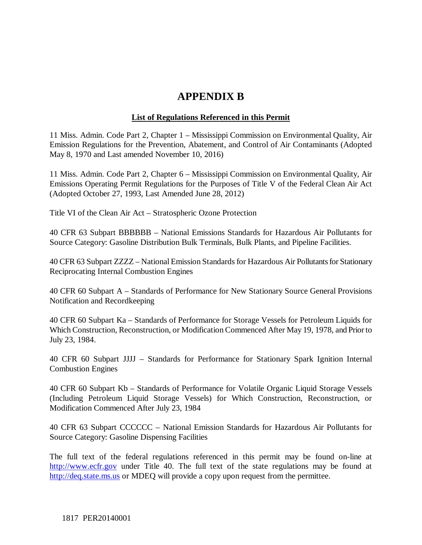# **APPENDIX B**

### **List of Regulations Referenced in this Permit**

11 Miss. Admin. Code Part 2, Chapter 1 – Mississippi Commission on Environmental Quality, Air Emission Regulations for the Prevention, Abatement, and Control of Air Contaminants (Adopted May 8, 1970 and Last amended November 10, 2016)

11 Miss. Admin. Code Part 2, Chapter 6 – Mississippi Commission on Environmental Quality, Air Emissions Operating Permit Regulations for the Purposes of Title V of the Federal Clean Air Act (Adopted October 27, 1993, Last Amended June 28, 2012)

Title VI of the Clean Air Act – Stratospheric Ozone Protection

40 CFR 63 Subpart BBBBBB – National Emissions Standards for Hazardous Air Pollutants for Source Category: Gasoline Distribution Bulk Terminals, Bulk Plants, and Pipeline Facilities.

40 CFR 63 Subpart ZZZZ – National Emission Standards for Hazardous Air Pollutants for Stationary Reciprocating Internal Combustion Engines

40 CFR 60 Subpart A – Standards of Performance for New Stationary Source General Provisions Notification and Recordkeeping

40 CFR 60 Subpart Ka – Standards of Performance for Storage Vessels for Petroleum Liquids for Which Construction, Reconstruction, or Modification Commenced After May 19, 1978, and Prior to July 23, 1984.

40 CFR 60 Subpart JJJJ – Standards for Performance for Stationary Spark Ignition Internal Combustion Engines

40 CFR 60 Subpart Kb – Standards of Performance for Volatile Organic Liquid Storage Vessels (Including Petroleum Liquid Storage Vessels) for Which Construction, Reconstruction, or Modification Commenced After July 23, 1984

40 CFR 63 Subpart CCCCCC – National Emission Standards for Hazardous Air Pollutants for Source Category: Gasoline Dispensing Facilities

The full text of the federal regulations referenced in this permit may be found on-line at http://www.ecfr.gov under Title 40. The full text of the state regulations may be found at http://deq.state.ms.us or MDEQ will provide a copy upon request from the permittee.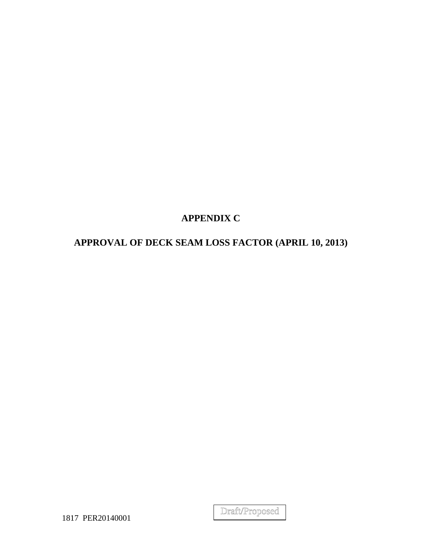# **APPENDIX C**

# **APPROVAL OF DECK SEAM LOSS FACTOR (APRIL 10, 2013)**

Draft/Proposed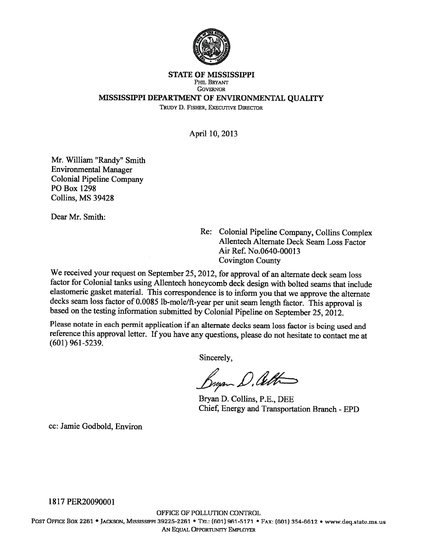

#### **STATE OF MISSISSIPPI** PHIL BRYANT **GOVERNOR** MISSISSIPPI DEPARTMENT OF ENVIRONMENTAL QUALITY

TRUDY D. FISHER, EXECUTIVE DIRECTOR

April 10, 2013

Mr. William "Randy" Smith **Environmental Manager Colonial Pipeline Company** PO Box 1298 Collins, MS 39428

Dear Mr. Smith:

Re: Colonial Pipeline Company, Collins Complex Allentech Alternate Deck Seam Loss Factor Air Ref. No.0640-00013 **Covington County** 

We received your request on September 25, 2012, for approval of an alternate deck seam loss factor for Colonial tanks using Allentech honeycomb deck design with bolted seams that include elastomeric gasket material. This correspondence is to inform you that we approve the alternate decks seam loss factor of 0.0085 lb-mole/ft-year per unit seam length factor. This approval is based on the testing information submitted by Colonial Pipeline on September 25, 2012.

Please notate in each permit application if an alternate decks seam loss factor is being used and reference this approval letter. If you have any questions, please do not hesitate to contact me at  $(601)$  961-5239.

Sincerely.

Bryan D. Ceth

Bryan D. Collins, P.E., DEE Chief, Energy and Transportation Branch - EPD

cc: Jamie Godbold, Environ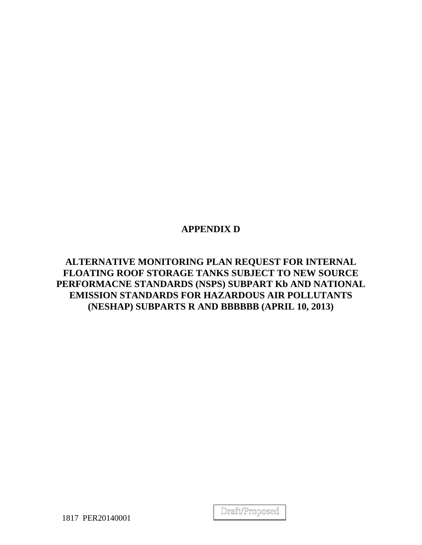# **APPENDIX D**

**ALTERNATIVE MONITORING PLAN REQUEST FOR INTERNAL FLOATING ROOF STORAGE TANKS SUBJECT TO NEW SOURCE PERFORMACNE STANDARDS (NSPS) SUBPART Kb AND NATIONAL EMISSION STANDARDS FOR HAZARDOUS AIR POLLUTANTS (NESHAP) SUBPARTS R AND BBBBBB (APRIL 10, 2013)**

Draft/Proposed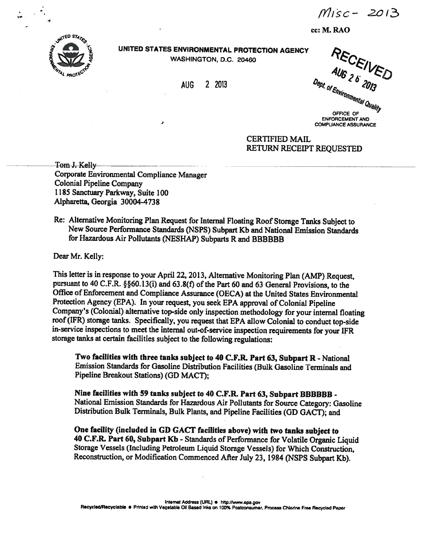$Misc - 2013$ 

cc: M. RAO



UNITED STATES ENVIRONMENTAL PROTECTION AGENCY WASHINGTON, D.C. 20460

> **AUG** 2 2013

RECEIVED Dept. of Environmental Quality

OFFICE OF **ENFORCEMENT AND COMPLIANCE ASSURANCE** 

**CERTIFIED MAIL** RETURN RECEIPT REQUESTED

Tom J. Kelly Corporate Environmental Compliance Manager **Colonial Pipeline Company** 1185 Sanctuary Parkway, Suite 100 Alpharetta, Georgia 30004-4738

ر

Re: Alternative Monitoring Plan Request for Internal Floating Roof Storage Tanks Subject to New Source Performance Standards (NSPS) Subpart Kb and National Emission Standards for Hazardous Air Pollutants (NESHAP) Subparts R and BBBBBB

Dear Mr. Kelly:

This letter is in response to your April 22, 2013, Alternative Monitoring Plan (AMP) Request. pursuant to 40 C.F.R. §§60.13(i) and 63.8(f) of the Part 60 and 63 General Provisions, to the Office of Enforcement and Compliance Assurance (OECA) at the United States Environmental Protection Agency (EPA). In your request, you seek EPA approval of Colonial Pipeline Company's (Colonial) alternative top-side only inspection methodology for your internal floating roof (IFR) storage tanks. Specifically, you request that EPA allow Colonial to conduct top-side in-service inspections to meet the internal out-of-service inspection requirements for your IFR storage tanks at certain facilities subject to the following regulations:

Two facilities with three tanks subject to 40 C.F.R. Part 63, Subpart R - National Emission Standards for Gasoline Distribution Facilities (Bulk Gasoline Terminals and Pipeline Breakout Stations) (GD MACT);

Nine facilities with 59 tanks subject to 40 C.F.R. Part 63, Subpart BBBBBB -National Emission Standards for Hazardous Air Pollutants for Source Category: Gasoline Distribution Bulk Terminals, Bulk Plants, and Pipeline Facilities (GD GACT); and

One facility (included in GD GACT facilities above) with two tanks subject to 40 C.F.R. Part 60, Subpart Kb - Standards of Performance for Volatile Organic Liquid Storage Vessels (Including Petroleum Liquid Storage Vessels) for Which Construction, Reconstruction, or Modification Commenced After July 23, 1984 (NSPS Subpart Kb).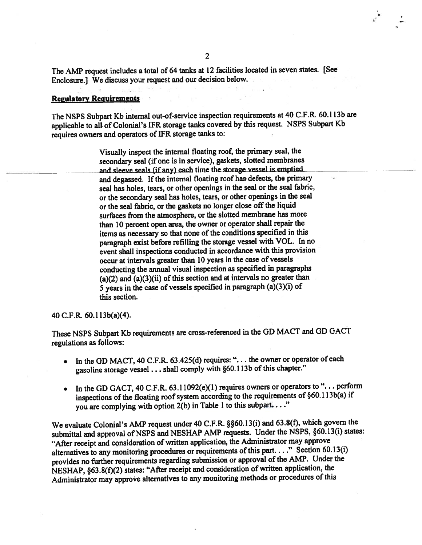The AMP request includes a total of 64 tanks at 12 facilities located in seven states. [See] Enclosure.] We discuss your request and our decision below.

#### **Regulatory Requirements**

The NSPS Subpart Kb internal out-of-service inspection requirements at 40 C.F.R. 60.113b are applicable to all of Colonial's IFR storage tanks covered by this request. NSPS Subpart Kb requires owners and operators of IFR storage tanks to:

> Visually inspect the internal floating roof, the primary seal, the secondary seal (if one is in service), gaskets, slotted membranes and sleeve seals (if any) each time the storage vessel is emptied. and degassed. If the internal floating roof has defects, the primary seal has holes, tears, or other openings in the seal or the seal fabric, or the secondary seal has holes, tears, or other openings in the seal or the seal fabric, or the gaskets no longer close off the liquid surfaces from the atmosphere, or the slotted membrane has more than 10 percent open area, the owner or operator shall repair the items as necessary so that none of the conditions specified in this paragraph exist before refilling the storage vessel with VOL. In no event shall inspections conducted in accordance with this provision occur at intervals greater than 10 years in the case of vessels conducting the annual visual inspection as specified in paragraphs (a)(2) and  $(a)(3)(ii)$  of this section and at intervals no greater than 5 years in the case of vessels specified in paragraph  $(a)(3)(i)$  of this section.

#### 40 C.F.R. 60.113b(a)(4).

These NSPS Subpart Kb requirements are cross-referenced in the GD MACT and GD GACT regulations as follows:

- In the GD MACT, 40 C.F.R. 63.425(d) requires: "... the owner or operator of each gasoline storage vessel . . . shall comply with §60.113b of this chapter."
- In the GD GACT, 40 C.F.R. 63.11092(e)(1) requires owners or operators to "... perform inspections of the floating roof system according to the requirements of §60.113b(a) if you are complying with option 2(b) in Table 1 to this subpart...."

We evaluate Colonial's AMP request under 40 C.F.R. §§60.13(i) and 63.8(f), which govern the submittal and approval of NSPS and NESHAP AMP requests. Under the NSPS, §60.13(i) states: "After receipt and consideration of written application, the Administrator may approve alternatives to any monitoring procedures or requirements of this part...." Section 60.13(i) provides no further requirements regarding submission or approval of the AMP. Under the NESHAP, §63.8(f)(2) states: "After receipt and consideration of written application, the Administrator may approve alternatives to any monitoring methods or procedures of this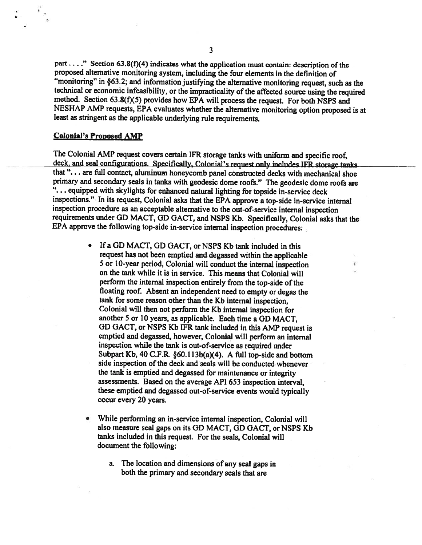part ...." Section 63.8(f)(4) indicates what the application must contain: description of the proposed alternative monitoring system, including the four elements in the definition of "monitoring" in §63.2; and information justifying the alternative monitoring request, such as the technical or economic infeasibility, or the impracticality of the affected source using the required method. Section 63.8(f)(5) provides how EPA will process the request. For both NSPS and NESHAP AMP requests, EPA evaluates whether the alternative monitoring option proposed is at least as stringent as the applicable underlying rule requirements.

#### **Colonial's Proposed AMP**

The Colonial AMP request covers certain IFR storage tanks with uniform and specific roof, deck, and seal configurations. Specifically, Colonial's request only includes IFR storage tanks that "... are full contact, aluminum honeycomb panel constructed decks with mechanical shoe primary and secondary seals in tanks with geodesic dome roofs." The geodesic dome roofs are "... equipped with skylights for enhanced natural lighting for topside in-service deck inspections." In its request, Colonial asks that the EPA approve a top-side in-service internal inspection procedure as an acceptable alternative to the out-of-service internal inspection requirements under GD MACT, GD GACT, and NSPS Kb. Specifically, Colonial asks that the EPA approve the following top-side in-service internal inspection procedures:

- $\bullet$ If a GD MACT, GD GACT, or NSPS Kb tank included in this request has not been emptied and degassed within the applicable 5 or 10-year period, Colonial will conduct the internal inspection on the tank while it is in service. This means that Colonial will perform the internal inspection entirely from the top-side of the floating roof. Absent an independent need to empty or degas the tank for some reason other than the Kb internal inspection, Colonial will then not perform the Kb internal inspection for another 5 or 10 years, as applicable. Each time a GD MACT, GD GACT, or NSPS Kb IFR tank included in this AMP request is emptied and degassed, however, Colonial will perform an internal inspection while the tank is out-of-service as required under Subpart Kb, 40 C.F.R.  $\S60.113b(a)(4)$ . A full top-side and bottom side inspection of the deck and seals will be conducted whenever the tank is emptied and degassed for maintenance or integrity assessments. Based on the average API 653 inspection interval, these emptied and degassed out-of-service events would typically occur every 20 years.
- 0 While performing an in-service internal inspection, Colonial will also measure seal gaps on its GD MACT, GD GACT, or NSPS Kb tanks included in this request. For the seals, Colonial will document the following:
	- a. The location and dimensions of any seal gaps in both the primary and secondary seals that are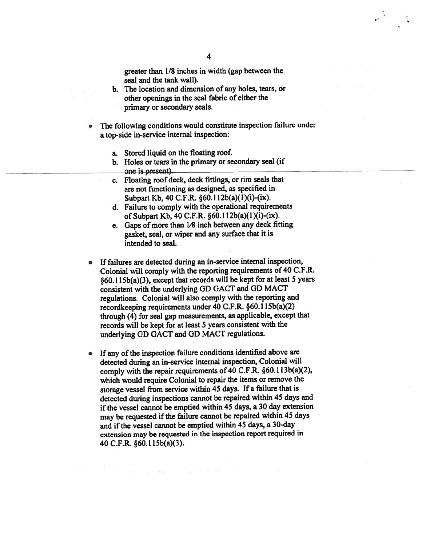greater than 1/8 inches in width (gap between the seal and the tank wall).

- b. The location and dimension of any holes, tears, or other openings in the seal fabric of either the primary or secondary seals.
- The following conditions would constitute inspection failure under  $\bullet$ a top-side in-service internal inspection:
	- a. Stored liquid on the floating roof.
	- b. Holes or tears in the primary or secondary seal (if one is present).
	- c. Floating roof deck, deck fittings, or rim seals that are not functioning as designed, as specified in Subpart Kb, 40 C.F.R. §60.112b(a)(1)(i)-(ix).
	- d. Failure to comply with the operational requirements of Subpart Kb, 40 C.F.R. §60.112b(a)(1)(i)-(ix).
	- e. Gaps of more than  $1/8$  inch between any deck fitting gasket, seal, or wiper and any surface that it is intended to seal.
- If failures are detected during an in-service internal inspection, Colonial will comply with the reporting requirements of 40 C.F.R. §60.115b(a)(3), except that records will be kept for at least 5 years consistent with the underlying GD GACT and GD MACT regulations. Colonial will also comply with the reporting and recordkeeping requirements under 40 C.F.R. §60.115b(a)(2) through (4) for seal gap measurements, as applicable, except that records will be kept for at least 5 years consistent with the underlying GD GACT and GD MACT regulations.
- If any of the inspection failure conditions identified above are  $\bullet$ detected during an in-service internal inspection, Colonial will comply with the repair requirements of 40 C.F.R. §60.113b(a)(2), which would require Colonial to repair the items or remove the storage vessel from service within 45 days. If a failure that is detected during inspections cannot be repaired within 45 days and if the vessel cannot be emptied within 45 days, a 30 day extension may be requested if the failure cannot be repaired within 45 days and if the vessel cannot be emptied within 45 days, a 30-day extension may be requested in the inspection report required in 40 C.F.R. §60.115b(a)(3).

and a second second

 $\mathbb{R}^{n \times n}$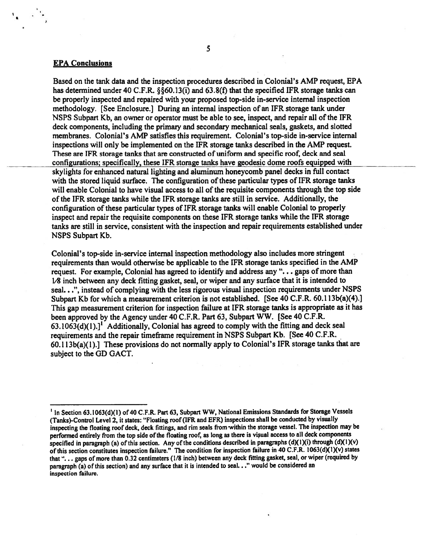#### **EPA Conclusions**

Based on the tank data and the inspection procedures described in Colonial's AMP request, EPA has determined under 40 C.F.R. §§60.13(i) and 63.8(f) that the specified IFR storage tanks can be properly inspected and repaired with your proposed top-side in-service internal inspection methodology. [See Enclosure.] During an internal inspection of an IFR storage tank under NSPS Subpart Kb, an owner or operator must be able to see, inspect, and repair all of the IFR deck components, including the primary and secondary mechanical seals, gaskets, and slotted membranes. Colonial's AMP satisfies this requirement. Colonial's top-side in-service internal inspections will only be implemented on the IFR storage tanks described in the AMP request. These are IFR storage tanks that are constructed of uniform and specific roof, deck and seal configurations; specifically, these IFR storage tanks have geodesic dome roofs equipped with skylights for enhanced natural lighting and aluminum honeycomb panel decks in full contact with the stored liquid surface. The configuration of these particular types of IFR storage tanks will enable Colonial to have visual access to all of the requisite components through the top side of the IFR storage tanks while the IFR storage tanks are still in service. Additionally, the configuration of these particular types of IFR storage tanks will enable Colonial to properly inspect and repair the requisite components on these IFR storage tanks while the IFR storage tanks are still in service, consistent with the inspection and repair requirements established under NSPS Subpart Kb.

Colonial's top-side in-service internal inspection methodology also includes more stringent requirements than would otherwise be applicable to the IFR storage tanks specified in the AMP request. For example, Colonial has agreed to identify and address any "... gaps of more than  $1/8$  inch between any deck fitting gasket, seal, or wiper and any surface that it is intended to seal...", instead of complying with the less rigorous visual inspection requirements under NSPS Subpart Kb for which a measurement criterion is not established. [See 40 C.F.R. 60.113b(a)(4).] This gap measurement criterion for inspection failure at IFR storage tanks is appropriate as it has been approved by the Agency under 40 C.F.R. Part 63, Subpart WW. [See 40 C.F.R.  $63.1063(d)(1).$ <sup>1</sup> Additionally, Colonial has agreed to comply with the fitting and deck seal requirements and the repair timeframe requirement in NSPS Subpart Kb. [See 40 C.F.R.  $60.113b(a)(1)$ .] These provisions do not normally apply to Colonial's IFR storage tanks that are subject to the GD GACT.

<sup>&</sup>lt;sup>1</sup> In Section 63.1063(d)(1) of 40 C.F.R. Part 63, Subpart WW, National Emissions Standards for Storage Vessels (Tanks)-Control Level 2, it states: "Floating roof (IFR and EFR) inspections shall be conducted by visually inspecting the floating roof deck, deck fittings, and rim seals from within the storage vessel. The inspection may be performed entirely from the top side of the floating roof, as long as there is visual access to all deck components specified in paragraph (a) of this section. Any of the conditions described in paragraphs (d)(1)(i) through (d)(1)(v) of this section constitutes inspection failure." The condition for inspection failure in 40 C.F.R. 1063(d)(1)(v) states that "... gaps of more than 0.32 centimeters (1/8 inch) between any deck fitting gasket, seal, or wiper (required by paragraph (a) of this section) and any surface that it is intended to seal..." would be considered an inspection failure.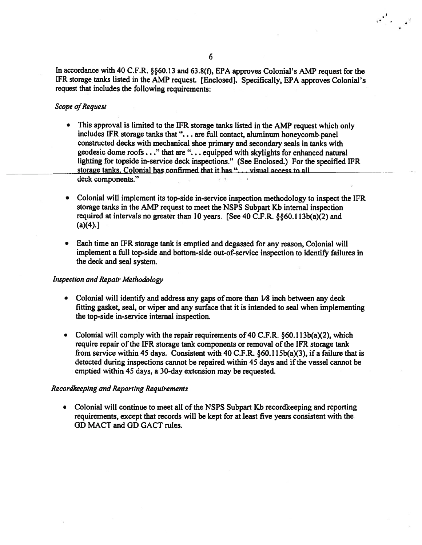$\sigma' = \sigma'$ 

In accordance with 40 C.F.R. §§60.13 and 63.8(f), EPA approves Colonial's AMP request for the IFR storage tanks listed in the AMP request. [Enclosed]. Specifically, EPA approves Colonial's request that includes the following requirements:

#### **Scope of Request**

- $\bullet$ This approval is limited to the IFR storage tanks listed in the AMP request which only includes IFR storage tanks that "... are full contact, aluminum honeycomb panel constructed decks with mechanical shoe primary and secondary seals in tanks with geodesic dome roofs . . ." that are ". . . equipped with skylights for enhanced natural lighting for topside in-service deck inspections." (See Enclosed.) For the specified IFR storage tanks, Colonial has confirmed that it has "... visual access to all deck components."
- Colonial will implement its top-side in-service inspection methodology to inspect the IFR  $\bullet$ storage tanks in the AMP request to meet the NSPS Subpart Kb internal inspection required at intervals no greater than 10 years. [See 40 C.F.R. §§60.113b(a)(2) and  $(a)(4).$
- Each time an IFR storage tank is emptied and degassed for any reason, Colonial will implement a full top-side and bottom-side out-of-service inspection to identify failures in the deck and seal system.

#### **Inspection and Repair Methodology**

- Colonial will identify and address any gaps of more than 1/8 inch between any deck fitting gasket, seal, or wiper and any surface that it is intended to seal when implementing the top-side in-service internal inspection.
- Colonial will comply with the repair requirements of 40 C.F.R.  $\S 60.113b(a)(2)$ , which require repair of the IFR storage tank components or removal of the IFR storage tank from service within 45 days. Consistent with 40 C.F.R.  $\S60.115b(a)(3)$ , if a failure that is detected during inspections cannot be repaired within 45 days and if the vessel cannot be emptied within 45 days, a 30-day extension may be requested.

#### Recordkeeping and Reporting Requirements

• Colonial will continue to meet all of the NSPS Subpart Kb record keeping and reporting requirements, except that records will be kept for at least five years consistent with the GD MACT and GD GACT rules.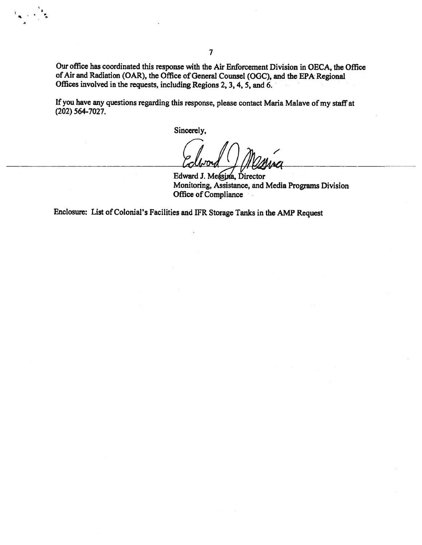Our office has coordinated this response with the Air Enforcement Division in OECA, the Office of Air and Radiation (OAR), the Office of General Counsel (OGC), and the EPA Regional Offices involved in the requests, including Regions 2, 3, 4, 5, and 6.

If you have any questions regarding this response, please contact Maria Malave of my staff at  $(202)$  564-7027.

Sincerely,

Edward J. Messina, Director Monitoring, Assistance, and Media Programs Division Office of Compliance

Enclosure: List of Colonial's Facilities and IFR Storage Tanks in the AMP Request